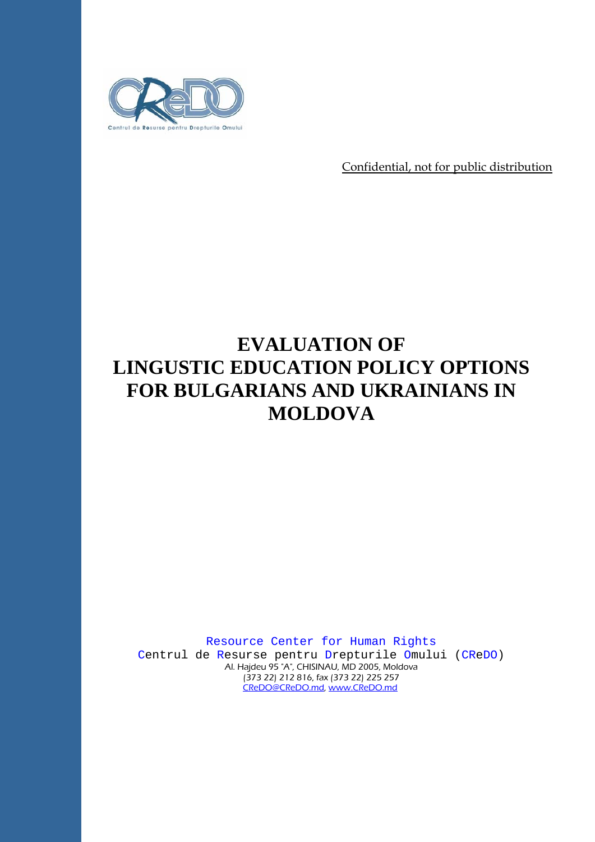

Confidential, not for public distribution

# **EVALUATION OF LINGUSTIC EDUCATION POLICY OPTIONS FOR BULGARIANS AND UKRAINIANS IN MOLDOVA**

Resource Center for Human Rights

Centrul de Resurse pentru Drepturile Omului (CReDO) Al. Hajdeu 95 "A", CHISINAU, MD 2005, Moldova (373 22) 212 816, fax (373 22) 225 257 CReDO@CReDO.md, www.CReDO.md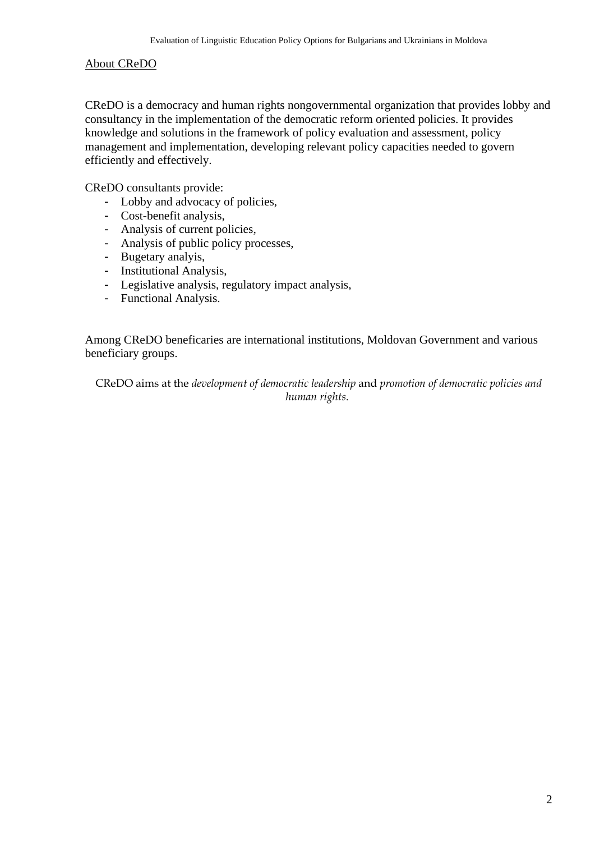#### About CReDO

CReDO is a democracy and human rights nongovernmental organization that provides lobby and consultancy in the implementation of the democratic reform oriented policies. It provides knowledge and solutions in the framework of policy evaluation and assessment, policy management and implementation, developing relevant policy capacities needed to govern efficiently and effectively.

CReDO consultants provide:

- Lobby and advocacy of policies,
- Cost-benefit analysis,
- Analysis of current policies,
- Analysis of public policy processes,
- Bugetary analyis,
- Institutional Analysis,
- Legislative analysis, regulatory impact analysis,
- Functional Analysis.

Among CReDO beneficaries are international institutions, Moldovan Government and various beneficiary groups.

CReDO aims at the *development of democratic leadership* and *promotion of democratic policies and human rights*.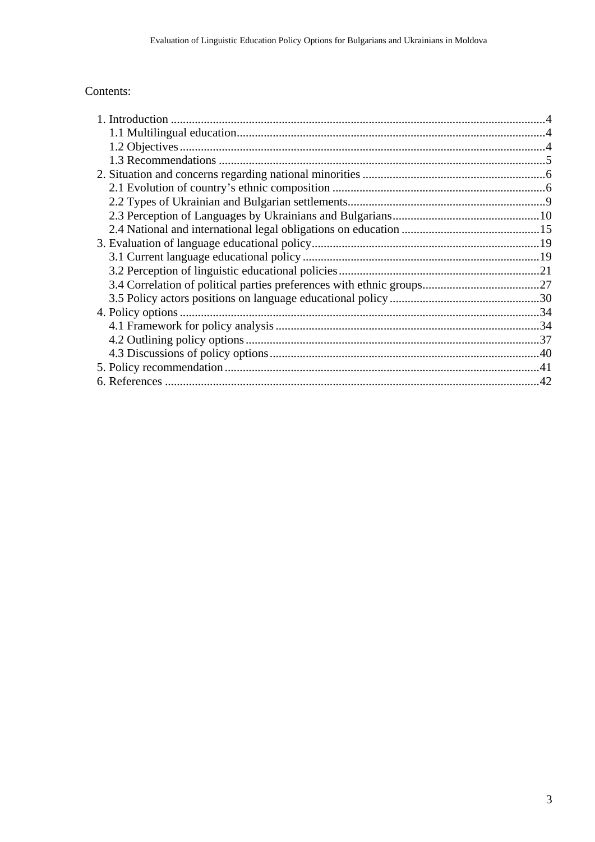### Contents: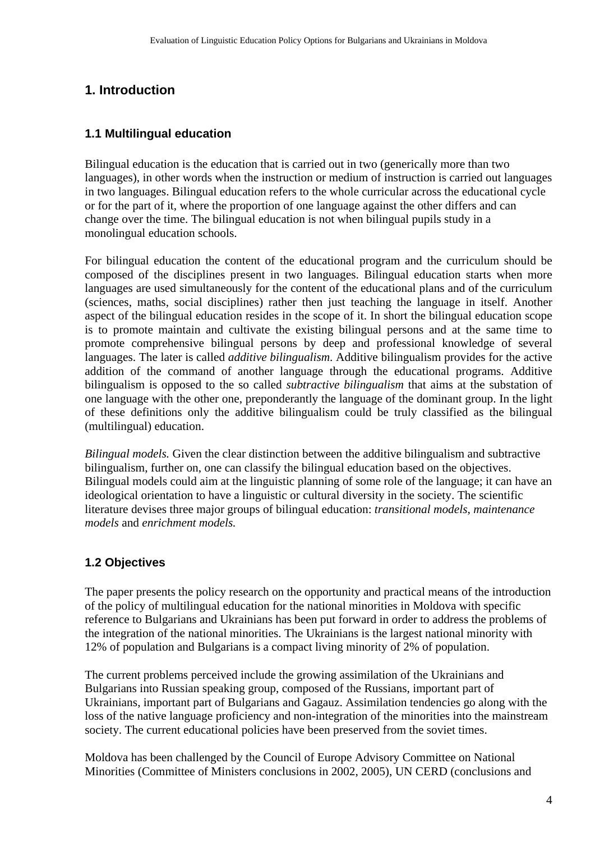## **1. Introduction**

#### **1.1 Multilingual education**

Bilingual education is the education that is carried out in two (generically more than two languages), in other words when the instruction or medium of instruction is carried out languages in two languages. Bilingual education refers to the whole curricular across the educational cycle or for the part of it, where the proportion of one language against the other differs and can change over the time. The bilingual education is not when bilingual pupils study in a monolingual education schools.

For bilingual education the content of the educational program and the curriculum should be composed of the disciplines present in two languages. Bilingual education starts when more languages are used simultaneously for the content of the educational plans and of the curriculum (sciences, maths, social disciplines) rather then just teaching the language in itself. Another aspect of the bilingual education resides in the scope of it. In short the bilingual education scope is to promote maintain and cultivate the existing bilingual persons and at the same time to promote comprehensive bilingual persons by deep and professional knowledge of several languages. The later is called *additive bilingualism*. Additive bilingualism provides for the active addition of the command of another language through the educational programs. Additive bilingualism is opposed to the so called *subtractive bilingualism* that aims at the substation of one language with the other one, preponderantly the language of the dominant group. In the light of these definitions only the additive bilingualism could be truly classified as the bilingual (multilingual) education.

*Bilingual models.* Given the clear distinction between the additive bilingualism and subtractive bilingualism, further on, one can classify the bilingual education based on the objectives. Bilingual models could aim at the linguistic planning of some role of the language; it can have an ideological orientation to have a linguistic or cultural diversity in the society. The scientific literature devises three major groups of bilingual education: *transitional models*, *maintenance models* and *enrichment models.* 

## **1.2 Objectives**

The paper presents the policy research on the opportunity and practical means of the introduction of the policy of multilingual education for the national minorities in Moldova with specific reference to Bulgarians and Ukrainians has been put forward in order to address the problems of the integration of the national minorities. The Ukrainians is the largest national minority with 12% of population and Bulgarians is a compact living minority of 2% of population.

The current problems perceived include the growing assimilation of the Ukrainians and Bulgarians into Russian speaking group, composed of the Russians, important part of Ukrainians, important part of Bulgarians and Gagauz. Assimilation tendencies go along with the loss of the native language proficiency and non-integration of the minorities into the mainstream society. The current educational policies have been preserved from the soviet times.

Moldova has been challenged by the Council of Europe Advisory Committee on National Minorities (Committee of Ministers conclusions in 2002, 2005), UN CERD (conclusions and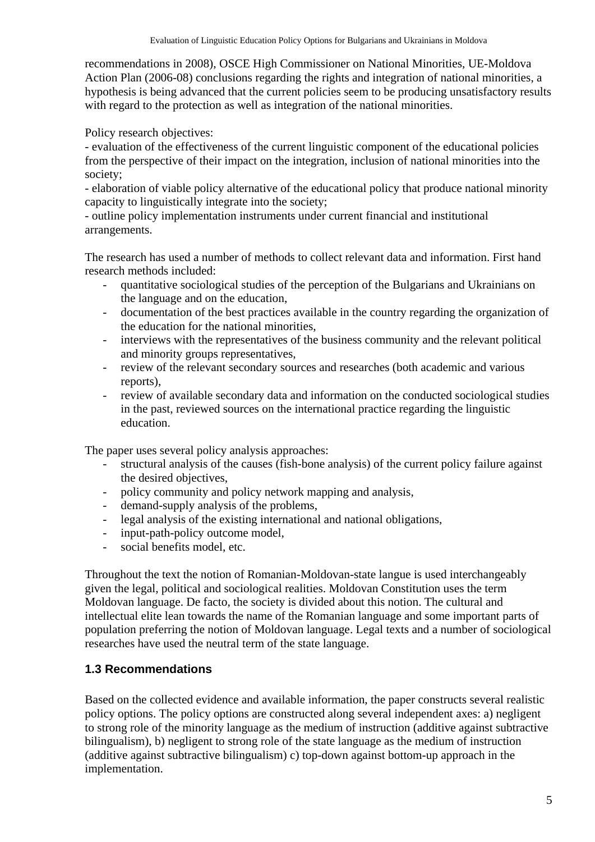recommendations in 2008), OSCE High Commissioner on National Minorities, UE-Moldova Action Plan (2006-08) conclusions regarding the rights and integration of national minorities, a hypothesis is being advanced that the current policies seem to be producing unsatisfactory results with regard to the protection as well as integration of the national minorities.

Policy research objectives:

- evaluation of the effectiveness of the current linguistic component of the educational policies from the perspective of their impact on the integration, inclusion of national minorities into the society;

- elaboration of viable policy alternative of the educational policy that produce national minority capacity to linguistically integrate into the society;

- outline policy implementation instruments under current financial and institutional arrangements.

The research has used a number of methods to collect relevant data and information. First hand research methods included:

- quantitative sociological studies of the perception of the Bulgarians and Ukrainians on the language and on the education,
- documentation of the best practices available in the country regarding the organization of the education for the national minorities,
- interviews with the representatives of the business community and the relevant political and minority groups representatives,
- review of the relevant secondary sources and researches (both academic and various reports),
- review of available secondary data and information on the conducted sociological studies in the past, reviewed sources on the international practice regarding the linguistic education.

The paper uses several policy analysis approaches:

- structural analysis of the causes (fish-bone analysis) of the current policy failure against the desired objectives,
- policy community and policy network mapping and analysis,
- demand-supply analysis of the problems,
- legal analysis of the existing international and national obligations,
- input-path-policy outcome model,
- social benefits model, etc.

Throughout the text the notion of Romanian-Moldovan-state langue is used interchangeably given the legal, political and sociological realities. Moldovan Constitution uses the term Moldovan language. De facto, the society is divided about this notion. The cultural and intellectual elite lean towards the name of the Romanian language and some important parts of population preferring the notion of Moldovan language. Legal texts and a number of sociological researches have used the neutral term of the state language.

#### **1.3 Recommendations**

Based on the collected evidence and available information, the paper constructs several realistic policy options. The policy options are constructed along several independent axes: a) negligent to strong role of the minority language as the medium of instruction (additive against subtractive bilingualism), b) negligent to strong role of the state language as the medium of instruction (additive against subtractive bilingualism) c) top-down against bottom-up approach in the implementation.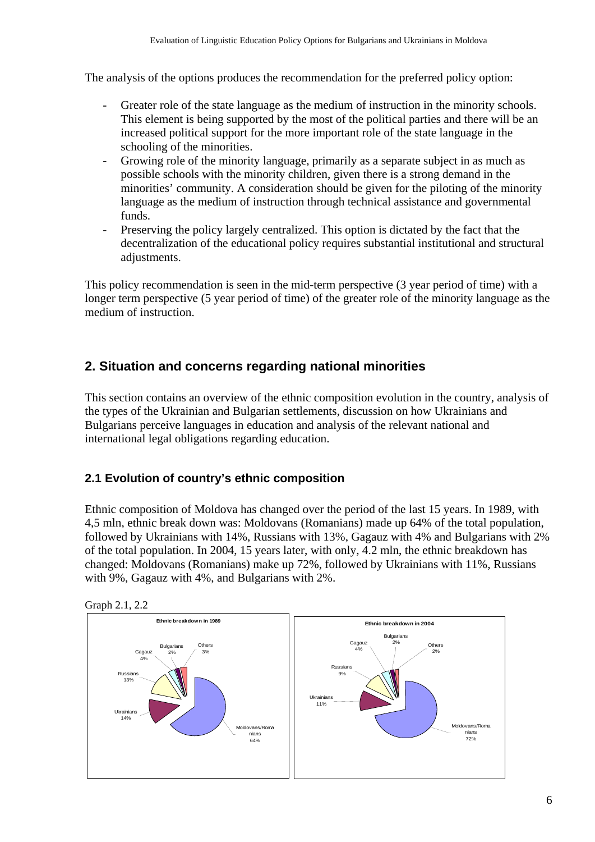The analysis of the options produces the recommendation for the preferred policy option:

- Greater role of the state language as the medium of instruction in the minority schools. This element is being supported by the most of the political parties and there will be an increased political support for the more important role of the state language in the schooling of the minorities.
- Growing role of the minority language, primarily as a separate subject in as much as possible schools with the minority children, given there is a strong demand in the minorities' community. A consideration should be given for the piloting of the minority language as the medium of instruction through technical assistance and governmental funds.
- Preserving the policy largely centralized. This option is dictated by the fact that the decentralization of the educational policy requires substantial institutional and structural adjustments.

This policy recommendation is seen in the mid-term perspective (3 year period of time) with a longer term perspective (5 year period of time) of the greater role of the minority language as the medium of instruction.

# **2. Situation and concerns regarding national minorities**

This section contains an overview of the ethnic composition evolution in the country, analysis of the types of the Ukrainian and Bulgarian settlements, discussion on how Ukrainians and Bulgarians perceive languages in education and analysis of the relevant national and international legal obligations regarding education.

## **2.1 Evolution of country's ethnic composition**

Ethnic composition of Moldova has changed over the period of the last 15 years. In 1989, with 4,5 mln, ethnic break down was: Moldovans (Romanians) made up 64% of the total population, followed by Ukrainians with 14%, Russians with 13%, Gagauz with 4% and Bulgarians with 2% of the total population. In 2004, 15 years later, with only, 4.2 mln, the ethnic breakdown has changed: Moldovans (Romanians) make up 72%, followed by Ukrainians with 11%, Russians with 9%, Gagauz with 4%, and Bulgarians with 2%.



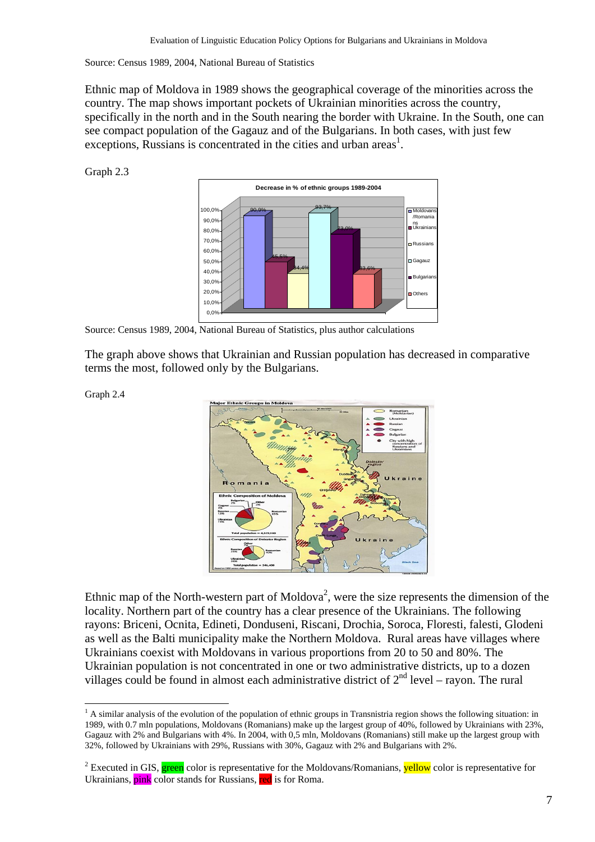Source: Census 1989, 2004, National Bureau of Statistics

Ethnic map of Moldova in 1989 shows the geographical coverage of the minorities across the country. The map shows important pockets of Ukrainian minorities across the country, specifically in the north and in the South nearing the border with Ukraine. In the South, one can see compact population of the Gagauz and of the Bulgarians. In both cases, with just few exceptions, Russians is concentrated in the cities and urban areas<sup>1</sup>.

Graph 2.3



Source: Census 1989, 2004, National Bureau of Statistics, plus author calculations

The graph above shows that Ukrainian and Russian population has decreased in comparative terms the most, followed only by the Bulgarians.

Graph 2.4

 $\overline{a}$ 



Ethnic map of the North-western part of Moldova<sup>2</sup>, were the size represents the dimension of the locality. Northern part of the country has a clear presence of the Ukrainians. The following rayons: Briceni, Ocnita, Edineti, Donduseni, Riscani, Drochia, Soroca, Floresti, falesti, Glodeni as well as the Balti municipality make the Northern Moldova. Rural areas have villages where Ukrainians coexist with Moldovans in various proportions from 20 to 50 and 80%. The Ukrainian population is not concentrated in one or two administrative districts, up to a dozen villages could be found in almost each administrative district of  $2<sup>nd</sup>$  level – rayon. The rural

<sup>&</sup>lt;sup>1</sup> A similar analysis of the evolution of the population of ethnic groups in Transnistria region shows the following situation: in 1989, with 0.7 mln populations, Moldovans (Romanians) make up the largest group of 40%, followed by Ukrainians with 23%, Gagauz with 2% and Bulgarians with 4%. In 2004, with 0,5 mln, Moldovans (Romanians) still make up the largest group with 32%, followed by Ukrainians with 29%, Russians with 30%, Gagauz with 2% and Bulgarians with 2%.

<sup>&</sup>lt;sup>2</sup> Executed in GIS, **green** color is representative for the Moldovans/Romanians, **yellow** color is representative for Ukrainians, pink color stands for Russians, red is for Roma.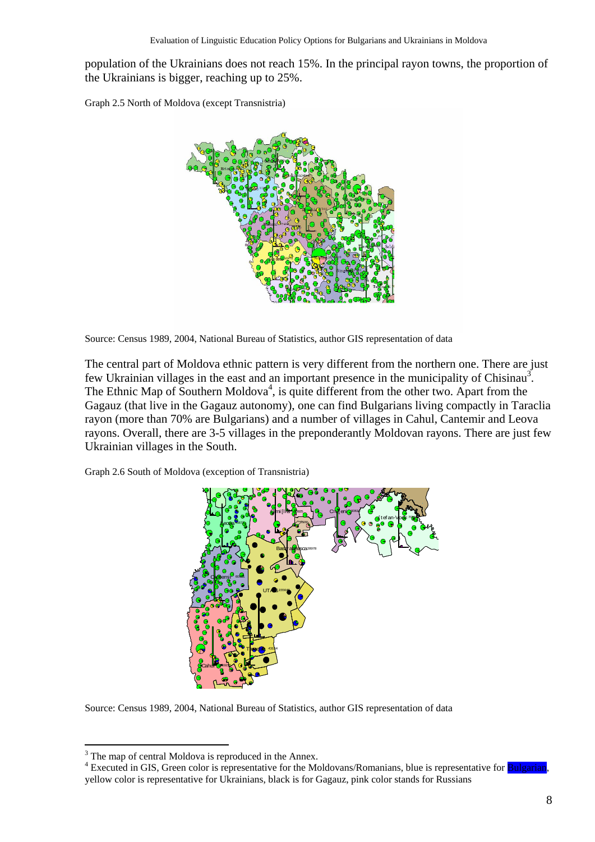population of the Ukrainians does not reach 15%. In the principal rayon towns, the proportion of the Ukrainians is bigger, reaching up to 25%.

Graph 2.5 North of Moldova (except Transnistria)



Source: Census 1989, 2004, National Bureau of Statistics, author GIS representation of data

The central part of Moldova ethnic pattern is very different from the northern one. There are just few Ukrainian villages in the east and an important presence in the municipality of Chisinau<sup>3</sup>. The Ethnic Map of Southern Moldova<sup>4</sup>, is quite different from the other two. Apart from the Gagauz (that live in the Gagauz autonomy), one can find Bulgarians living compactly in Taraclia rayon (more than 70% are Bulgarians) and a number of villages in Cahul, Cantemir and Leova rayons. Overall, there are 3-5 villages in the preponderantly Moldovan rayons. There are just few Ukrainian villages in the South.

Graph 2.6 South of Moldova (exception of Transnistria)



Source: Census 1989, 2004, National Bureau of Statistics, author GIS representation of data

<sup>&</sup>lt;sup>3</sup> The map of central Moldova is reproduced in the Annex.

<sup>&</sup>lt;sup>4</sup> Executed in GIS, Green color is representative for the Moldovans/Romanians, blue is representative for **Bulgarian**, yellow color is representative for Ukrainians, black is for Gagauz, pink color stands for Russians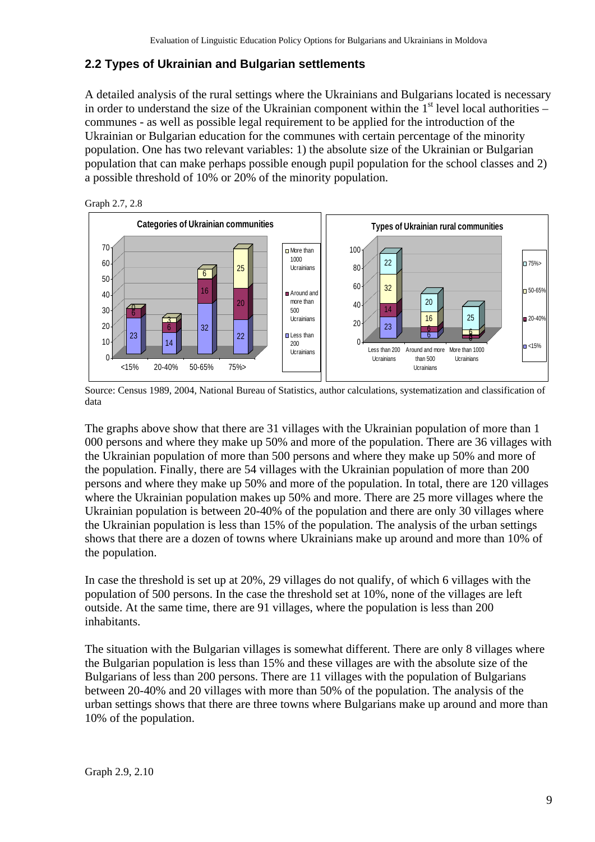## **2.2 Types of Ukrainian and Bulgarian settlements**

A detailed analysis of the rural settings where the Ukrainians and Bulgarians located is necessary in order to understand the size of the Ukrainian component within the  $1<sup>st</sup>$  level local authorities – communes - as well as possible legal requirement to be applied for the introduction of the Ukrainian or Bulgarian education for the communes with certain percentage of the minority population. One has two relevant variables: 1) the absolute size of the Ukrainian or Bulgarian population that can make perhaps possible enough pupil population for the school classes and 2) a possible threshold of 10% or 20% of the minority population.



Source: Census 1989, 2004, National Bureau of Statistics, author calculations, systematization and classification of data

The graphs above show that there are 31 villages with the Ukrainian population of more than 1 000 persons and where they make up 50% and more of the population. There are 36 villages with the Ukrainian population of more than 500 persons and where they make up 50% and more of the population. Finally, there are 54 villages with the Ukrainian population of more than 200 persons and where they make up 50% and more of the population. In total, there are 120 villages where the Ukrainian population makes up 50% and more. There are 25 more villages where the Ukrainian population is between 20-40% of the population and there are only 30 villages where the Ukrainian population is less than 15% of the population. The analysis of the urban settings shows that there are a dozen of towns where Ukrainians make up around and more than 10% of the population.

In case the threshold is set up at 20%, 29 villages do not qualify, of which 6 villages with the population of 500 persons. In the case the threshold set at 10%, none of the villages are left outside. At the same time, there are 91 villages, where the population is less than 200 inhabitants.

The situation with the Bulgarian villages is somewhat different. There are only 8 villages where the Bulgarian population is less than 15% and these villages are with the absolute size of the Bulgarians of less than 200 persons. There are 11 villages with the population of Bulgarians between 20-40% and 20 villages with more than 50% of the population. The analysis of the urban settings shows that there are three towns where Bulgarians make up around and more than 10% of the population.

 $-75%$ 

 $\overline{50-65}$ 

 $-20-40$ 

 $\blacksquare$  <15%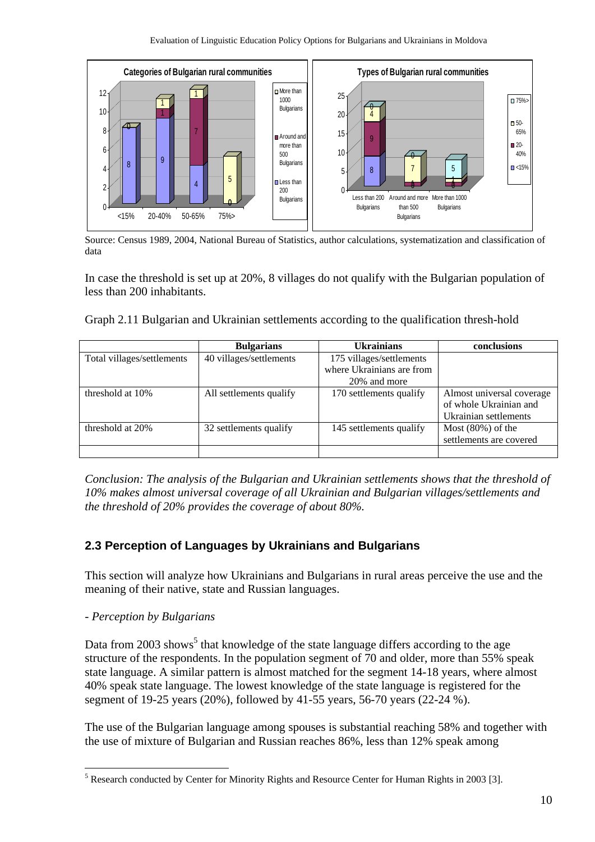

Source: Census 1989, 2004, National Bureau of Statistics, author calculations, systematization and classification of data

In case the threshold is set up at 20%, 8 villages do not qualify with the Bulgarian population of less than 200 inhabitants.

|  | Graph 2.11 Bulgarian and Ukrainian settlements according to the qualification thresh-hold |  |  |  |
|--|-------------------------------------------------------------------------------------------|--|--|--|
|  |                                                                                           |  |  |  |

|                            | <b>Bulgarians</b>       | <b>Ukrainians</b>         | conclusions                                                                  |
|----------------------------|-------------------------|---------------------------|------------------------------------------------------------------------------|
| Total villages/settlements | 40 villages/settlements | 175 villages/settlements  |                                                                              |
|                            |                         | where Ukrainians are from |                                                                              |
|                            |                         | 20% and more              |                                                                              |
| threshold at 10%           | All settlements qualify | 170 settlements qualify   | Almost universal coverage<br>of whole Ukrainian and<br>Ukrainian settlements |
| threshold at 20%           | 32 settlements qualify  | 145 settlements qualify   | Most $(80\%)$ of the<br>settlements are covered                              |
|                            |                         |                           |                                                                              |

*Conclusion: The analysis of the Bulgarian and Ukrainian settlements shows that the threshold of 10% makes almost universal coverage of all Ukrainian and Bulgarian villages/settlements and the threshold of 20% provides the coverage of about 80%.* 

## **2.3 Perception of Languages by Ukrainians and Bulgarians**

This section will analyze how Ukrainians and Bulgarians in rural areas perceive the use and the meaning of their native, state and Russian languages.

#### *- Perception by Bulgarians*

 $\overline{a}$ 

Data from 2003 shows<sup>5</sup> that knowledge of the state language differs according to the age structure of the respondents. In the population segment of 70 and older, more than 55% speak state language. A similar pattern is almost matched for the segment 14-18 years, where almost 40% speak state language. The lowest knowledge of the state language is registered for the segment of 19-25 years (20%), followed by 41-55 years, 56-70 years (22-24 %).

The use of the Bulgarian language among spouses is substantial reaching 58% and together with the use of mixture of Bulgarian and Russian reaches 86%, less than 12% speak among

<sup>&</sup>lt;sup>5</sup> Research conducted by Center for Minority Rights and Resource Center for Human Rights in 2003 [3].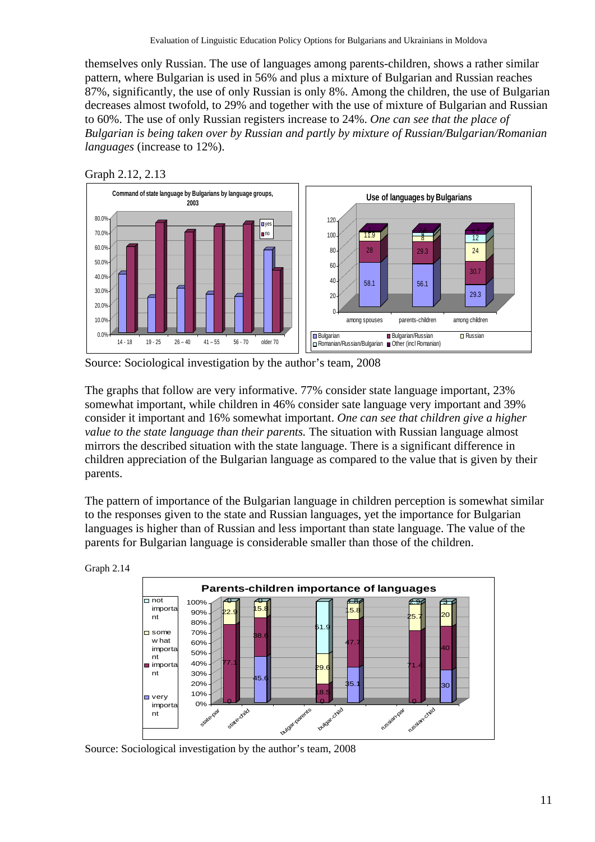themselves only Russian. The use of languages among parents-children, shows a rather similar pattern, where Bulgarian is used in 56% and plus a mixture of Bulgarian and Russian reaches 87%, significantly, the use of only Russian is only 8%. Among the children, the use of Bulgarian decreases almost twofold, to 29% and together with the use of mixture of Bulgarian and Russian to 60%. The use of only Russian registers increase to 24%. *One can see that the place of Bulgarian is being taken over by Russian and partly by mixture of Russian/Bulgarian/Romanian languages* (increase to 12%).





Source: Sociological investigation by the author's team, 2008

The graphs that follow are very informative. 77% consider state language important, 23% somewhat important, while children in 46% consider sate language very important and 39% consider it important and 16% somewhat important. *One can see that children give a higher value to the state language than their parents.* The situation with Russian language almost mirrors the described situation with the state language. There is a significant difference in children appreciation of the Bulgarian language as compared to the value that is given by their parents.

The pattern of importance of the Bulgarian language in children perception is somewhat similar to the responses given to the state and Russian languages, yet the importance for Bulgarian languages is higher than of Russian and less important than state language. The value of the parents for Bulgarian language is considerable smaller than those of the children.





Source: Sociological investigation by the author's team, 2008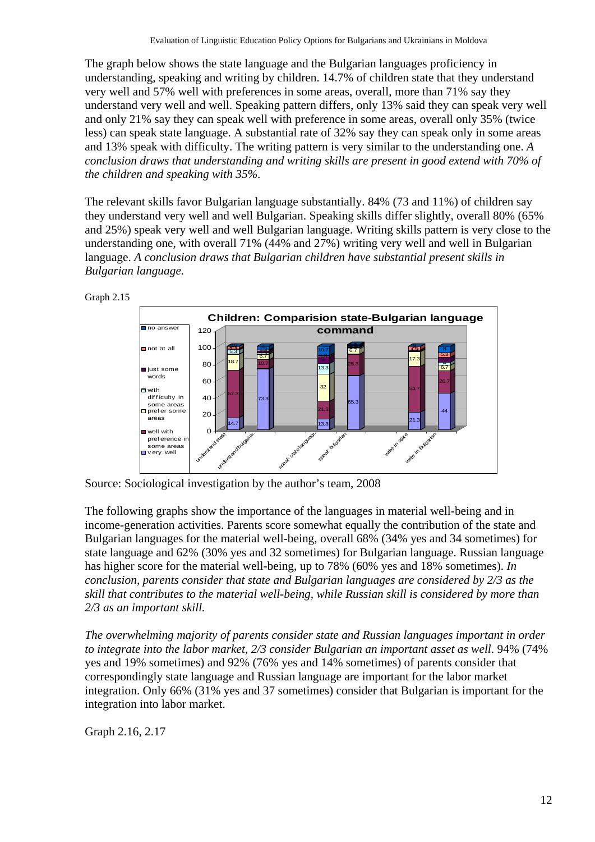The graph below shows the state language and the Bulgarian languages proficiency in understanding, speaking and writing by children. 14.7% of children state that they understand very well and 57% well with preferences in some areas, overall, more than 71% say they understand very well and well. Speaking pattern differs, only 13% said they can speak very well and only 21% say they can speak well with preference in some areas, overall only 35% (twice less) can speak state language. A substantial rate of 32% say they can speak only in some areas and 13% speak with difficulty. The writing pattern is very similar to the understanding one. *A conclusion draws that understanding and writing skills are present in good extend with 70% of the children and speaking with 35%.* 

The relevant skills favor Bulgarian language substantially. 84% (73 and 11%) of children say they understand very well and well Bulgarian. Speaking skills differ slightly, overall 80% (65% and 25%) speak very well and well Bulgarian language. Writing skills pattern is very close to the understanding one, with overall 71% (44% and 27%) writing very well and well in Bulgarian language. *A conclusion draws that Bulgarian children have substantial present skills in Bulgarian language.*



Source: Sociological investigation by the author's team, 2008

The following graphs show the importance of the languages in material well-being and in income-generation activities. Parents score somewhat equally the contribution of the state and Bulgarian languages for the material well-being, overall 68% (34% yes and 34 sometimes) for state language and 62% (30% yes and 32 sometimes) for Bulgarian language. Russian language has higher score for the material well-being, up to 78% (60% yes and 18% sometimes). *In conclusion, parents consider that state and Bulgarian languages are considered by 2/3 as the skill that contributes to the material well-being, while Russian skill is considered by more than 2/3 as an important skill.* 

*The overwhelming majority of parents consider state and Russian languages important in order*  to integrate into the labor market, 2/3 consider Bulgarian an important asset as well. 94% (74% yes and 19% sometimes) and 92% (76% yes and 14% sometimes) of parents consider that correspondingly state language and Russian language are important for the labor market integration. Only 66% (31% yes and 37 sometimes) consider that Bulgarian is important for the integration into labor market.

Graph 2.16, 2.17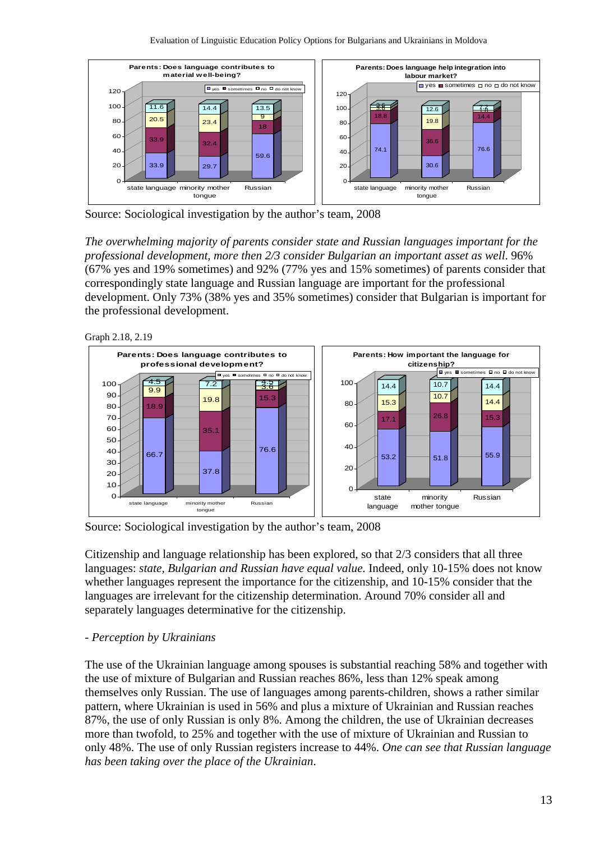

Source: Sociological investigation by the author's team, 2008

*The overwhelming majority of parents consider state and Russian languages important for the professional development, more then 2/3 consider Bulgarian an important asset as well*. 96% (67% yes and 19% sometimes) and 92% (77% yes and 15% sometimes) of parents consider that correspondingly state language and Russian language are important for the professional development. Only 73% (38% yes and 35% sometimes) consider that Bulgarian is important for the professional development.





Source: Sociological investigation by the author's team, 2008

Citizenship and language relationship has been explored, so that 2/3 considers that all three languages: *state, Bulgarian and Russian have equal value.* Indeed, only 10-15% does not know whether languages represent the importance for the citizenship, and 10-15% consider that the languages are irrelevant for the citizenship determination. Around 70% consider all and separately languages determinative for the citizenship.

#### *- Perception by Ukrainians*

The use of the Ukrainian language among spouses is substantial reaching 58% and together with the use of mixture of Bulgarian and Russian reaches 86%, less than 12% speak among themselves only Russian. The use of languages among parents-children, shows a rather similar pattern, where Ukrainian is used in 56% and plus a mixture of Ukrainian and Russian reaches 87%, the use of only Russian is only 8%. Among the children, the use of Ukrainian decreases more than twofold, to 25% and together with the use of mixture of Ukrainian and Russian to only 48%. The use of only Russian registers increase to 44%. *One can see that Russian language has been taking over the place of the Ukrainian*.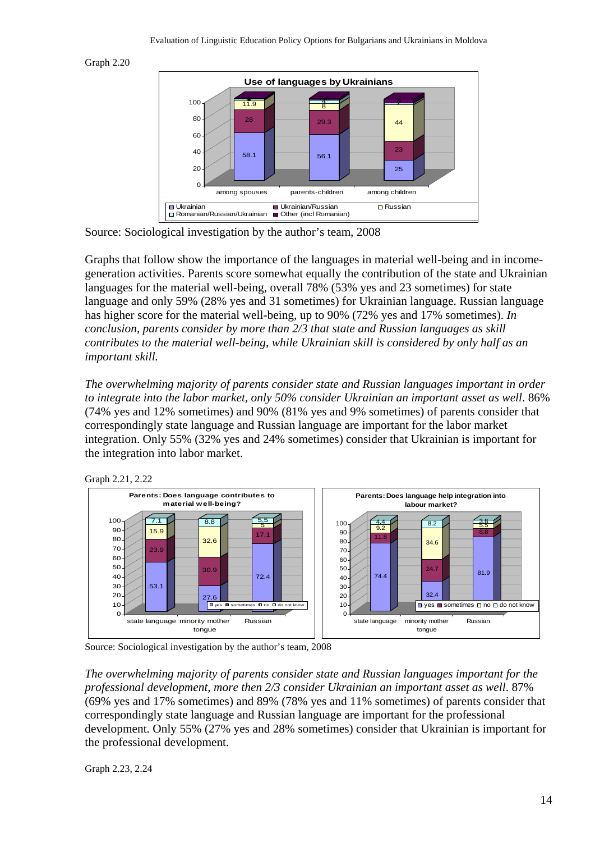



Source: Sociological investigation by the author's team, 2008

Graphs that follow show the importance of the languages in material well-being and in incomegeneration activities. Parents score somewhat equally the contribution of the state and Ukrainian languages for the material well-being, overall 78% (53% yes and 23 sometimes) for state language and only 59% (28% yes and 31 sometimes) for Ukrainian language. Russian language has higher score for the material well-being, up to 90% (72% yes and 17% sometimes). *In conclusion, parents consider by more than 2/3 that state and Russian languages as skill contributes to the material well-being, while Ukrainian skill is considered by only half as an important skill.* 

*The overwhelming majority of parents consider state and Russian languages important in order to integrate into the labor market, only 50% consider Ukrainian an important asset as well*. 86% (74% yes and 12% sometimes) and 90% (81% yes and 9% sometimes) of parents consider that correspondingly state language and Russian language are important for the labor market integration. Only 55% (32% yes and 24% sometimes) consider that Ukrainian is important for the integration into labor market.



Source: Sociological investigation by the author's team, 2008

*The overwhelming majority of parents consider state and Russian languages important for the professional development, more then 2/3 consider Ukrainian an important asset as well*. 87% (69% yes and 17% sometimes) and 89% (78% yes and 11% sometimes) of parents consider that correspondingly state language and Russian language are important for the professional development. Only 55% (27% yes and 28% sometimes) consider that Ukrainian is important for the professional development.

Graph 2.23, 2.24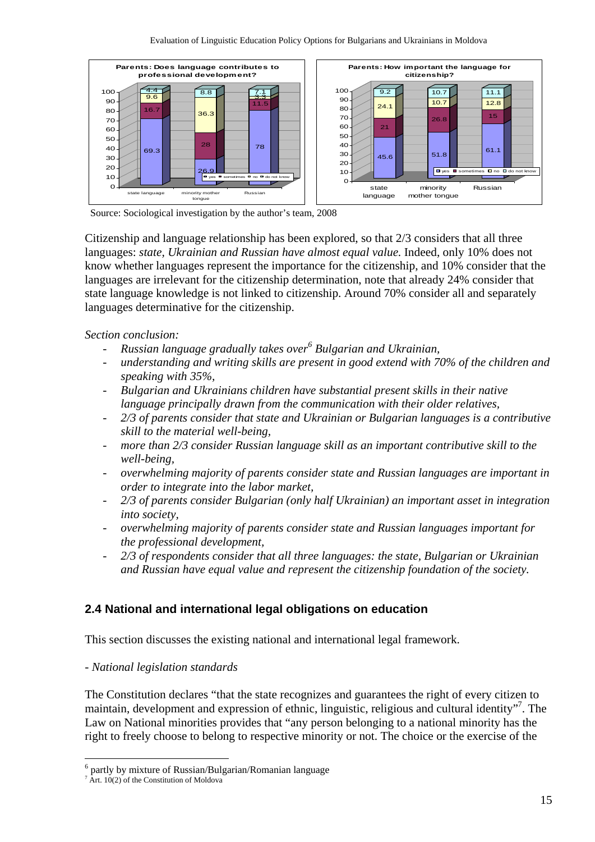

Source: Sociological investigation by the author's team, 2008

Citizenship and language relationship has been explored, so that 2/3 considers that all three languages: *state, Ukrainian and Russian have almost equal value.* Indeed, only 10% does not know whether languages represent the importance for the citizenship, and 10% consider that the languages are irrelevant for the citizenship determination, note that already 24% consider that state language knowledge is not linked to citizenship. Around 70% consider all and separately languages determinative for the citizenship.

### *Section conclusion:*

- *Russian language gradually takes over<sup>6</sup> Bulgarian and Ukrainian,*
- *understanding and writing skills are present in good extend with 70% of the children and speaking with 35%,*
- *Bulgarian and Ukrainians children have substantial present skills in their native language principally drawn from the communication with their older relatives,*
- *2/3 of parents consider that state and Ukrainian or Bulgarian languages is a contributive skill to the material well-being,*
- *more than 2/3 consider Russian language skill as an important contributive skill to the well-being,*
- *overwhelming majority of parents consider state and Russian languages are important in order to integrate into the labor market,*
- *2/3 of parents consider Bulgarian (only half Ukrainian) an important asset in integration into society,*
- *overwhelming majority of parents consider state and Russian languages important for the professional development,*
- *2/3 of respondents consider that all three languages: the state, Bulgarian or Ukrainian and Russian have equal value and represent the citizenship foundation of the society.*

## **2.4 National and international legal obligations on education**

This section discusses the existing national and international legal framework.

## *- National legislation standards*

The Constitution declares "that the state recognizes and guarantees the right of every citizen to maintain, development and expression of ethnic, linguistic, religious and cultural identity"<sup>7</sup>. The Law on National minorities provides that "any person belonging to a national minority has the right to freely choose to belong to respective minority or not. The choice or the exercise of the

<sup>&</sup>lt;sup>6</sup> partly by mixture of Russian/Bulgarian/Romanian language

 $7$  Art. 10(2) of the Constitution of Moldova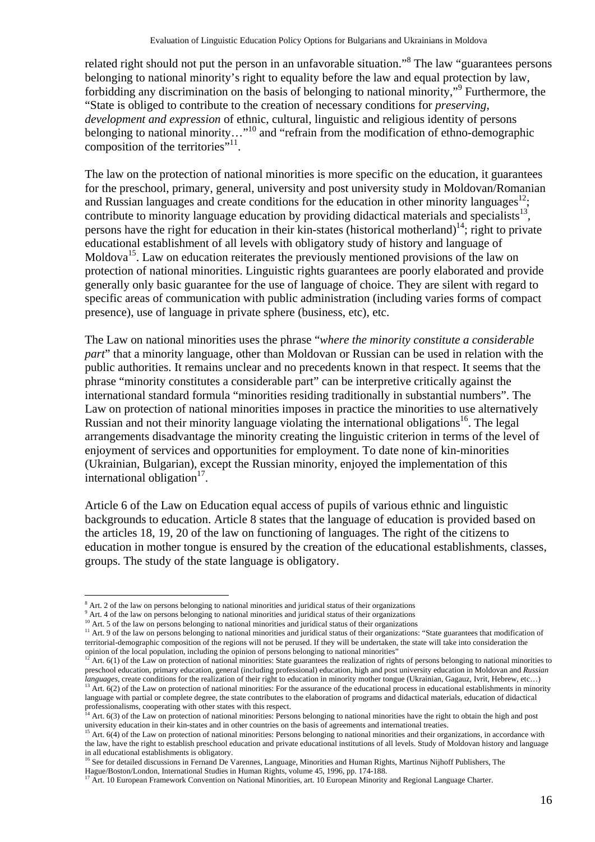related right should not put the person in an unfavorable situation."<sup>8</sup> The law "guarantees persons belonging to national minority's right to equality before the law and equal protection by law, forbidding any discrimination on the basis of belonging to national minority,"<sup>9</sup> Furthermore, the "State is obliged to contribute to the creation of necessary conditions for *preserving, development and expression* of ethnic, cultural, linguistic and religious identity of persons belonging to national minority…"<sup>10</sup> and "refrain from the modification of ethno-demographic composition of the territories $"^{11}$ .

The law on the protection of national minorities is more specific on the education, it guarantees for the preschool, primary, general, university and post university study in Moldovan/Romanian and Russian languages and create conditions for the education in other minority languages<sup>12</sup>; contribute to minority language education by providing didactical materials and specialists<sup>13</sup>, persons have the right for education in their kin-states (historical motherland)<sup>14</sup>; right to private educational establishment of all levels with obligatory study of history and language of Moldova<sup>15</sup>. Law on education reiterates the previously mentioned provisions of the law on protection of national minorities. Linguistic rights guarantees are poorly elaborated and provide generally only basic guarantee for the use of language of choice. They are silent with regard to specific areas of communication with public administration (including varies forms of compact presence), use of language in private sphere (business, etc), etc.

The Law on national minorities uses the phrase "*where the minority constitute a considerable part*" that a minority language, other than Moldovan or Russian can be used in relation with the public authorities. It remains unclear and no precedents known in that respect. It seems that the phrase "minority constitutes a considerable part" can be interpretive critically against the international standard formula "minorities residing traditionally in substantial numbers". The Law on protection of national minorities imposes in practice the minorities to use alternatively Russian and not their minority language violating the international obligations<sup>16</sup>. The legal arrangements disadvantage the minority creating the linguistic criterion in terms of the level of enjoyment of services and opportunities for employment. To date none of kin-minorities (Ukrainian, Bulgarian), except the Russian minority, enjoyed the implementation of this international obligation $17$ .

Article 6 of the Law on Education equal access of pupils of various ethnic and linguistic backgrounds to education. Article 8 states that the language of education is provided based on the articles 18, 19, 20 of the law on functioning of languages. The right of the citizens to education in mother tongue is ensured by the creation of the educational establishments, classes, groups. The study of the state language is obligatory.

<sup>&</sup>lt;sup>8</sup> Art. 2 of the law on persons belonging to national minorities and juridical status of their organizations  $\frac{9}{2}$  Art. 4 of the law on persons belonging to period minorities and juridical status of their organizatio

<sup>&</sup>lt;sup>9</sup> Art. 4 of the law on persons belonging to national minorities and juridical status of their organizations<br><sup>10</sup> Art. 5 of the law on persons belonging to national minorities and juridical status of their organizations<br> territorial-demographic composition of the regions will not be perused. If they will be undertaken, the state will take into consideration the

Art. 6(1) of the Law on protection of national minorities: State guarantees the realization of rights of persons belonging to national minorities to preschool education, primary education, general (including professional) education, high and post university education in Moldovan and *Russian* 

<sup>&</sup>lt;sup>13</sup> Art. 6(2) of the Law on protection of national minorities: For the assurance of the educational process in educational establishments in minority language with partial or complete degree, the state contributes to the elaboration of programs and didactical materials, education of didactical professionalisms, cooperating with other states with this respect.<br><sup>14</sup> Art. 6(3) of the Law on protection of national minorities: Persons belonging to national minorities have the right to obtain the high and post<br><sup>14</sup> Ar

antiversity education in their kin-states and in other countries on the basis of agreements and international treaties.<br><sup>15</sup> Art. 6(4) of the Law on protection of national minorities: Persons belonging to national minoriti

the law, have the right to establish preschool education and private educational institutions of all levels. Study of Moldovan history and language in all educational establishments is obligatory.

<sup>&</sup>lt;sup>16</sup> See for detailed discussions in Fernand De Varennes, Language, Minorities and Human Rights, Martinus Nijhoff Publishers, The

Hague/Boston/London, International Studies in Human Rights, volume 45, 1996, pp. 174-188.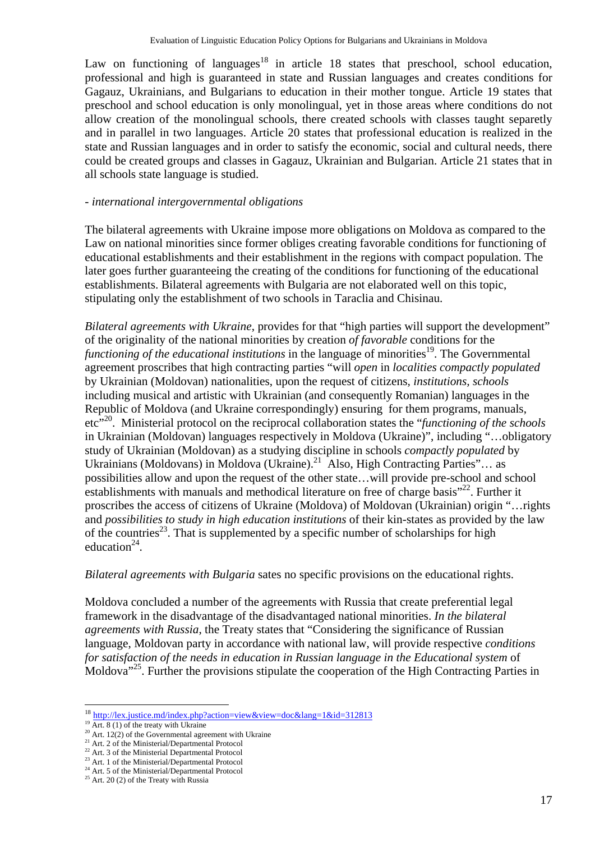Law on functioning of languages<sup>18</sup> in article 18 states that preschool, school education, professional and high is guaranteed in state and Russian languages and creates conditions for Gagauz, Ukrainians, and Bulgarians to education in their mother tongue. Article 19 states that preschool and school education is only monolingual, yet in those areas where conditions do not allow creation of the monolingual schools, there created schools with classes taught separetly and in parallel in two languages. Article 20 states that professional education is realized in the state and Russian languages and in order to satisfy the economic, social and cultural needs, there could be created groups and classes in Gagauz, Ukrainian and Bulgarian. Article 21 states that in all schools state language is studied.

#### *- international intergovernmental obligations*

The bilateral agreements with Ukraine impose more obligations on Moldova as compared to the Law on national minorities since former obliges creating favorable conditions for functioning of educational establishments and their establishment in the regions with compact population. The later goes further guaranteeing the creating of the conditions for functioning of the educational establishments. Bilateral agreements with Bulgaria are not elaborated well on this topic, stipulating only the establishment of two schools in Taraclia and Chisinau.

*Bilateral agreements with Ukraine*, provides for that "high parties will support the development" of the originality of the national minorities by creation *of favorable* conditions for the *functioning of the educational institutions* in the language of minorities<sup>19</sup>. The Governmental agreement proscribes that high contracting parties "will *open* in *localities compactly populated* by Ukrainian (Moldovan) nationalities, upon the request of citizens*, institutions, schools* including musical and artistic with Ukrainian (and consequently Romanian) languages in the Republic of Moldova (and Ukraine correspondingly) ensuring for them programs, manuals, etc<sup>"20</sup>. Ministerial protocol on the reciprocal collaboration states the "*functioning of the schools*" in Ukrainian (Moldovan) languages respectively in Moldova (Ukraine)", including "…obligatory study of Ukrainian (Moldovan) as a studying discipline in schools *compactly populated* by Ukrainians (Moldovans) in Moldova (Ukraine).<sup>21</sup> Also, High Contracting Parties"... as possibilities allow and upon the request of the other state…will provide pre-school and school establishments with manuals and methodical literature on free of charge basis"<sup>22</sup>. Further it proscribes the access of citizens of Ukraine (Moldova) of Moldovan (Ukrainian) origin "…rights and *possibilities to study in high education institutions* of their kin-states as provided by the law of the countries<sup>23</sup>. That is supplemented by a specific number of scholarships for high education $24$ .

#### *Bilateral agreements with Bulgaria* sates no specific provisions on the educational rights.

Moldova concluded a number of the agreements with Russia that create preferential legal framework in the disadvantage of the disadvantaged national minorities. *In the bilateral agreements with Russia*, the Treaty states that "Considering the significance of Russian language, Moldovan party in accordance with national law, will provide respective *conditions for satisfaction of the needs in education in Russian language in the Educational system* of Moldova<sup>"25</sup>. Further the provisions stipulate the cooperation of the High Contracting Parties in

<sup>&</sup>lt;sup>18</sup> http://lex.justice.md/index.php?action=view&view=doc&lang=1&id=312813<br><sup>19</sup> Art. 8 (1) of the treaty with Ukraine<br><sup>20</sup> Art. 12(2) of the Governmental agreement with Ukraine

 $21$  Art. 2 of the Ministerial/Departmental Protocol

<sup>&</sup>lt;sup>22</sup> Art. 3 of the Ministerial Departmental Protocol

<sup>&</sup>lt;sup>23</sup> Art. 1 of the Ministerial/Departmental Protocol

<sup>&</sup>lt;sup>24</sup> Art. 5 of the Ministerial/Departmental Protocol

 $25$  Art. 20 (2) of the Treaty with Russia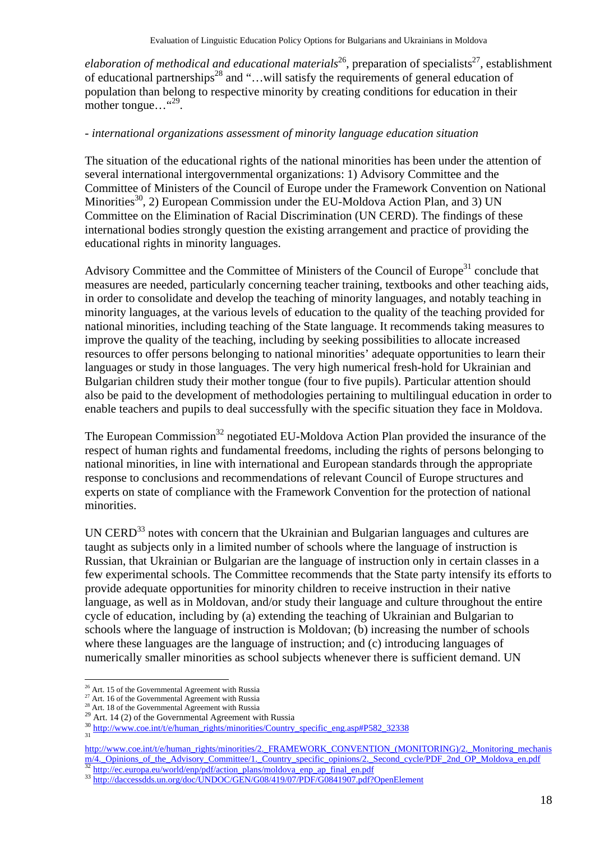*elaboration of methodical and educational materials*<sup>26</sup>, preparation of specialists<sup>27</sup>, establishment of educational partnerships<sup>28</sup> and "...will satisfy the requirements of general education of population than belong to respective minority by creating conditions for education in their mother tongue… "<sup>29</sup>.

#### *- international organizations assessment of minority language education situation*

The situation of the educational rights of the national minorities has been under the attention of several international intergovernmental organizations: 1) Advisory Committee and the Committee of Ministers of the Council of Europe under the Framework Convention on National Minorities<sup>30</sup>, 2) European Commission under the EU-Moldova Action Plan, and 3) UN Committee on the Elimination of Racial Discrimination (UN CERD). The findings of these international bodies strongly question the existing arrangement and practice of providing the educational rights in minority languages.

Advisory Committee and the Committee of Ministers of the Council of Europe<sup>31</sup> conclude that measures are needed, particularly concerning teacher training, textbooks and other teaching aids, in order to consolidate and develop the teaching of minority languages, and notably teaching in minority languages, at the various levels of education to the quality of the teaching provided for national minorities, including teaching of the State language. It recommends taking measures to improve the quality of the teaching, including by seeking possibilities to allocate increased resources to offer persons belonging to national minorities' adequate opportunities to learn their languages or study in those languages. The very high numerical fresh-hold for Ukrainian and Bulgarian children study their mother tongue (four to five pupils). Particular attention should also be paid to the development of methodologies pertaining to multilingual education in order to enable teachers and pupils to deal successfully with the specific situation they face in Moldova.

The European Commission<sup>32</sup> negotiated EU-Moldova Action Plan provided the insurance of the respect of human rights and fundamental freedoms, including the rights of persons belonging to national minorities, in line with international and European standards through the appropriate response to conclusions and recommendations of relevant Council of Europe structures and experts on state of compliance with the Framework Convention for the protection of national minorities.

UN  $CERD<sup>33</sup>$  notes with concern that the Ukrainian and Bulgarian languages and cultures are taught as subjects only in a limited number of schools where the language of instruction is Russian, that Ukrainian or Bulgarian are the language of instruction only in certain classes in a few experimental schools. The Committee recommends that the State party intensify its efforts to provide adequate opportunities for minority children to receive instruction in their native language, as well as in Moldovan, and/or study their language and culture throughout the entire cycle of education, including by (a) extending the teaching of Ukrainian and Bulgarian to schools where the language of instruction is Moldovan; (b) increasing the number of schools where these languages are the language of instruction; and (c) introducing languages of numerically smaller minorities as school subjects whenever there is sufficient demand. UN

 $\overline{a}$ <sup>26</sup> Art. 15 of the Governmental Agreement with Russia

 $27$  Art. 16 of the Governmental Agreement with Russia

<sup>&</sup>lt;sup>28</sup> Art. 18 of the Governmental Agreement with Russia

 $29$  Art. 14 (2) of the Governmental Agreement with Russia

 $\frac{30 \text{ http://www.coe.int/te/human rights/minorities/Country\text{ specific}\text{ eng.asp#P582}\text{ }32338}}{31}$ 

http://www.coe.int/t/e/human\_rights/minorities/2.\_FRAMEWORK\_CONVENTION\_(MONITORING)/2.\_Monitoring\_mechanis m/4. Opinions of the Advisory Committee/1. Country specific opinions/2. Second cycle/PDF 2nd OP Moldova en.pdf<br>
<sup>32</sup> http://ec.europa.eu/world/enp/pdf/action\_plans/moldova\_enp\_ap\_final\_en.pdf<br>
<sup>33</sup> http://daccessdds.un.org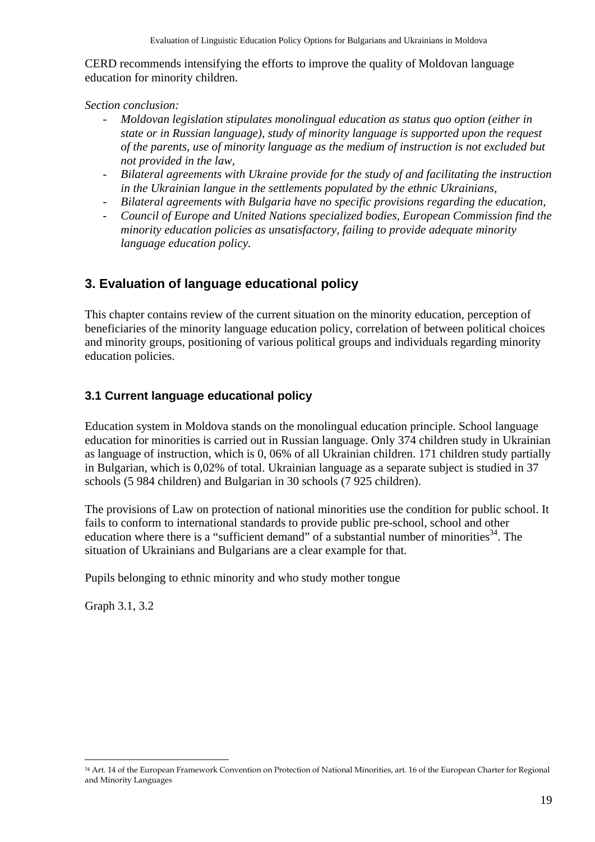CERD recommends intensifying the efforts to improve the quality of Moldovan language education for minority children.

*Section conclusion:* 

- *Moldovan legislation stipulates monolingual education as status quo option (either in state or in Russian language), study of minority language is supported upon the request of the parents, use of minority language as the medium of instruction is not excluded but not provided in the law,*
- *Bilateral agreements with Ukraine provide for the study of and facilitating the instruction in the Ukrainian langue in the settlements populated by the ethnic Ukrainians,*
- *Bilateral agreements with Bulgaria have no specific provisions regarding the education,*
- *Council of Europe and United Nations specialized bodies, European Commission find the minority education policies as unsatisfactory, failing to provide adequate minority language education policy.*

## **3. Evaluation of language educational policy**

This chapter contains review of the current situation on the minority education, perception of beneficiaries of the minority language education policy, correlation of between political choices and minority groups, positioning of various political groups and individuals regarding minority education policies.

## **3.1 Current language educational policy**

Education system in Moldova stands on the monolingual education principle. School language education for minorities is carried out in Russian language. Only 374 children study in Ukrainian as language of instruction, which is 0, 06% of all Ukrainian children. 171 children study partially in Bulgarian, which is 0,02% of total. Ukrainian language as a separate subject is studied in 37 schools (5 984 children) and Bulgarian in 30 schools (7 925 children).

The provisions of Law on protection of national minorities use the condition for public school. It fails to conform to international standards to provide public pre-school, school and other education where there is a "sufficient demand" of a substantial number of minorities $34$ . The situation of Ukrainians and Bulgarians are a clear example for that.

Pupils belonging to ethnic minority and who study mother tongue

Graph 3.1, 3.2

<sup>34</sup> Art. 14 of the European Framework Convention on Protection of National Minorities, art. 16 of the European Charter for Regional and Minority Languages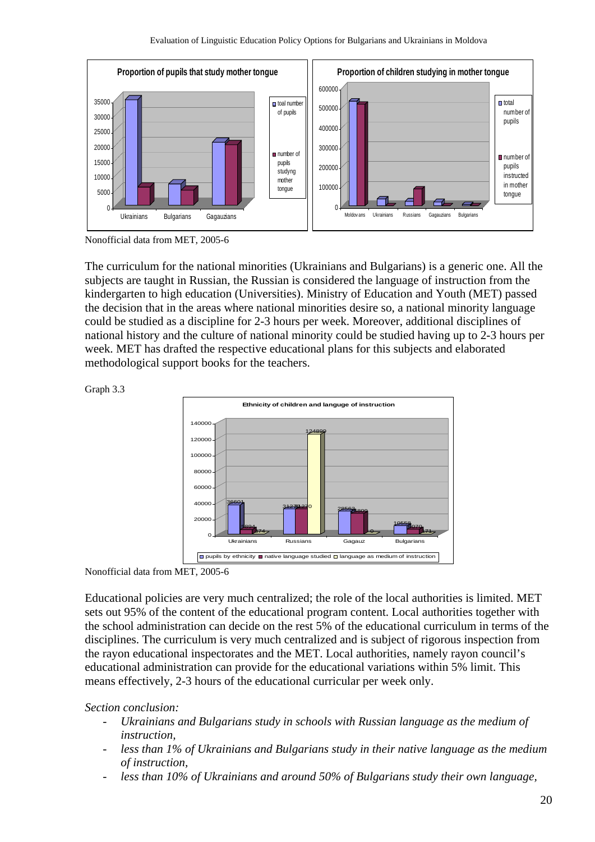

Nonofficial data from MET, 2005-6

The curriculum for the national minorities (Ukrainians and Bulgarians) is a generic one. All the subjects are taught in Russian, the Russian is considered the language of instruction from the kindergarten to high education (Universities). Ministry of Education and Youth (MET) passed the decision that in the areas where national minorities desire so, a national minority language could be studied as a discipline for 2-3 hours per week. Moreover, additional disciplines of national history and the culture of national minority could be studied having up to 2-3 hours per week. MET has drafted the respective educational plans for this subjects and elaborated methodological support books for the teachers.



Graph 3.3

Nonofficial data from MET, 2005-6

Educational policies are very much centralized; the role of the local authorities is limited. MET sets out 95% of the content of the educational program content. Local authorities together with the school administration can decide on the rest 5% of the educational curriculum in terms of the disciplines. The curriculum is very much centralized and is subject of rigorous inspection from the rayon educational inspectorates and the MET. Local authorities, namely rayon council's educational administration can provide for the educational variations within 5% limit. This means effectively, 2-3 hours of the educational curricular per week only.

*Section conclusion:* 

- *Ukrainians and Bulgarians study in schools with Russian language as the medium of instruction,*
- *less than 1% of Ukrainians and Bulgarians study in their native language as the medium of instruction,*
- less than 10% of Ukrainians and around 50% of Bulgarians study their own language,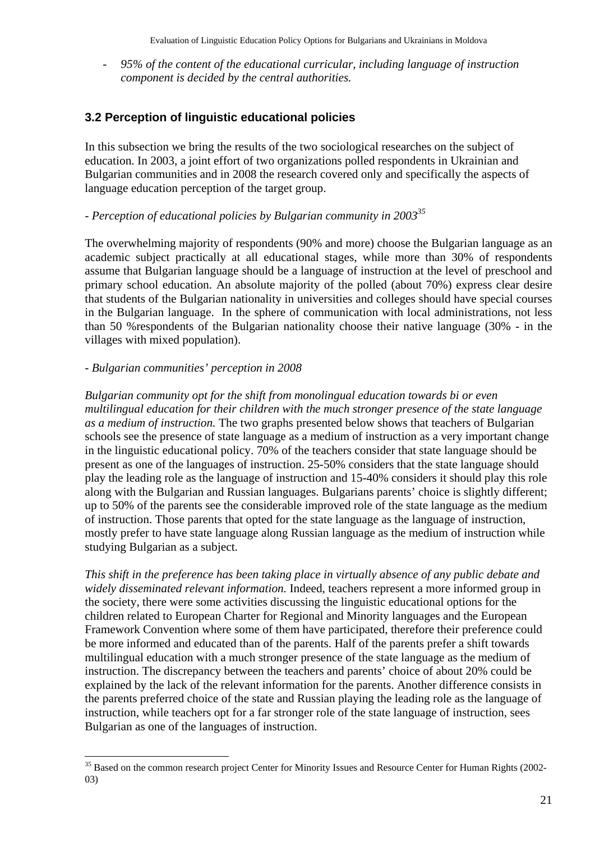- *95% of the content of the educational curricular, including language of instruction component is decided by the central authorities.* 

## **3.2 Perception of linguistic educational policies**

In this subsection we bring the results of the two sociological researches on the subject of education. In 2003, a joint effort of two organizations polled respondents in Ukrainian and Bulgarian communities and in 2008 the research covered only and specifically the aspects of language education perception of the target group.

## *- Perception of educational policies by Bulgarian community in 200335*

The overwhelming majority of respondents (90% and more) choose the Bulgarian language as an academic subject practically at all educational stages, while more than 30% of respondents assume that Bulgarian language should be a language of instruction at the level of preschool and primary school education. An absolute majority of the polled (about 70%) express clear desire that students of the Bulgarian nationality in universities and colleges should have special courses in the Bulgarian language. In the sphere of communication with local administrations, not less than 50 %respondents of the Bulgarian nationality choose their native language (30% - in the villages with mixed population).

#### *- Bulgarian communities' perception in 2008*

 $\overline{a}$ 

*Bulgarian community opt for the shift from monolingual education towards bi or even multilingual education for their children with the much stronger presence of the state language as a medium of instruction.* The two graphs presented below shows that teachers of Bulgarian schools see the presence of state language as a medium of instruction as a very important change in the linguistic educational policy. 70% of the teachers consider that state language should be present as one of the languages of instruction. 25-50% considers that the state language should play the leading role as the language of instruction and 15-40% considers it should play this role along with the Bulgarian and Russian languages. Bulgarians parents' choice is slightly different; up to 50% of the parents see the considerable improved role of the state language as the medium of instruction. Those parents that opted for the state language as the language of instruction, mostly prefer to have state language along Russian language as the medium of instruction while studying Bulgarian as a subject.

*This shift in the preference has been taking place in virtually absence of any public debate and widely disseminated relevant information.* Indeed, teachers represent a more informed group in the society, there were some activities discussing the linguistic educational options for the children related to European Charter for Regional and Minority languages and the European Framework Convention where some of them have participated, therefore their preference could be more informed and educated than of the parents. Half of the parents prefer a shift towards multilingual education with a much stronger presence of the state language as the medium of instruction. The discrepancy between the teachers and parents' choice of about 20% could be explained by the lack of the relevant information for the parents. Another difference consists in the parents preferred choice of the state and Russian playing the leading role as the language of instruction, while teachers opt for a far stronger role of the state language of instruction, sees Bulgarian as one of the languages of instruction.

<sup>&</sup>lt;sup>35</sup> Based on the common research project Center for Minority Issues and Resource Center for Human Rights (2002-03)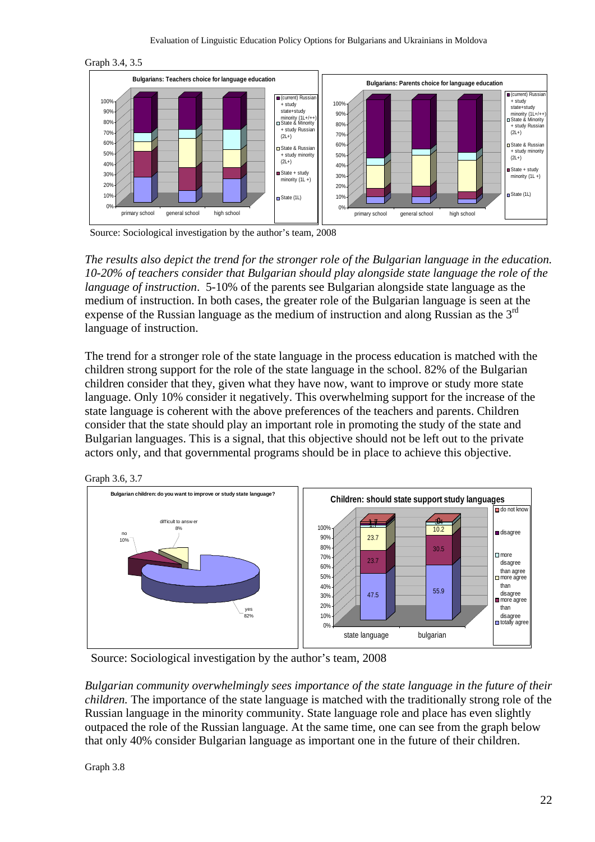



Source: Sociological investigation by the author's team, 2008

*The results also depict the trend for the stronger role of the Bulgarian language in the education. 10-20% of teachers consider that Bulgarian should play alongside state language the role of the language of instruction*. 5-10% of the parents see Bulgarian alongside state language as the medium of instruction. In both cases, the greater role of the Bulgarian language is seen at the expense of the Russian language as the medium of instruction and along Russian as the 3rd language of instruction.

The trend for a stronger role of the state language in the process education is matched with the children strong support for the role of the state language in the school. 82% of the Bulgarian children consider that they, given what they have now, want to improve or study more state language. Only 10% consider it negatively. This overwhelming support for the increase of the state language is coherent with the above preferences of the teachers and parents. Children consider that the state should play an important role in promoting the study of the state and Bulgarian languages. This is a signal, that this objective should not be left out to the private actors only, and that governmental programs should be in place to achieve this objective.





Source: Sociological investigation by the author's team, 2008

*Bulgarian community overwhelmingly sees importance of the state language in the future of their children.* The importance of the state language is matched with the traditionally strong role of the Russian language in the minority community. State language role and place has even slightly outpaced the role of the Russian language. At the same time, one can see from the graph below that only 40% consider Bulgarian language as important one in the future of their children.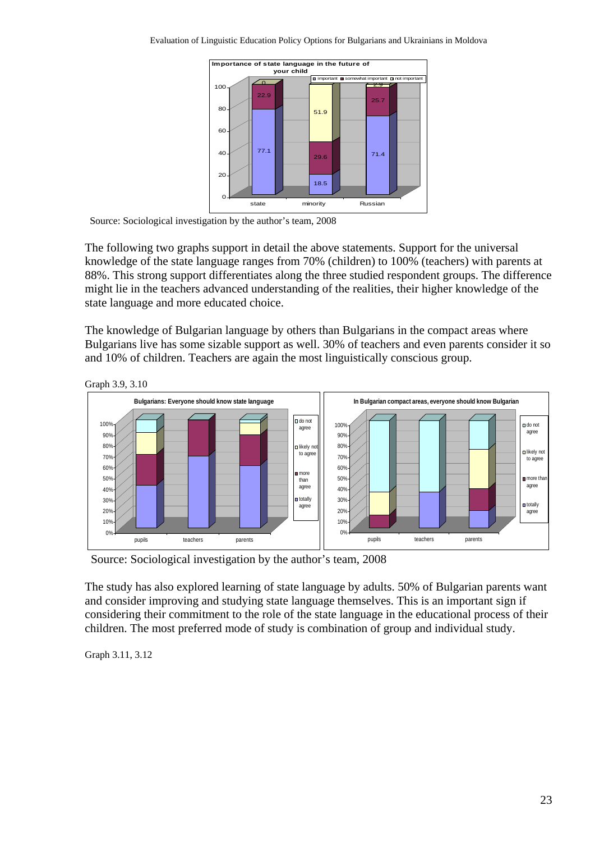

Source: Sociological investigation by the author's team, 2008

The following two graphs support in detail the above statements. Support for the universal knowledge of the state language ranges from 70% (children) to 100% (teachers) with parents at 88%. This strong support differentiates along the three studied respondent groups. The difference might lie in the teachers advanced understanding of the realities, their higher knowledge of the state language and more educated choice.

The knowledge of Bulgarian language by others than Bulgarians in the compact areas where Bulgarians live has some sizable support as well. 30% of teachers and even parents consider it so and 10% of children. Teachers are again the most linguistically conscious group.



Graph 3.9, 3.10

Source: Sociological investigation by the author's team, 2008

The study has also explored learning of state language by adults. 50% of Bulgarian parents want and consider improving and studying state language themselves. This is an important sign if considering their commitment to the role of the state language in the educational process of their children. The most preferred mode of study is combination of group and individual study.

Graph 3.11, 3.12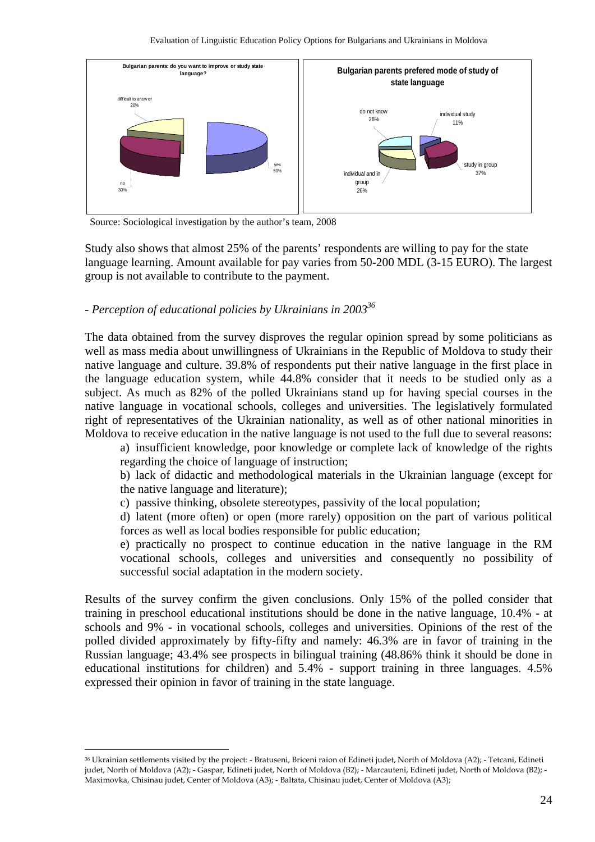

Source: Sociological investigation by the author's team, 2008

Study also shows that almost 25% of the parents' respondents are willing to pay for the state language learning. Amount available for pay varies from 50-200 MDL (3-15 EURO). The largest group is not available to contribute to the payment.

#### *- Perception of educational policies by Ukrainians in 200336*

 $\overline{a}$ 

The data obtained from the survey disproves the regular opinion spread by some politicians as well as mass media about unwillingness of Ukrainians in the Republic of Moldova to study their native language and culture. 39.8% of respondents put their native language in the first place in the language education system, while 44.8% consider that it needs to be studied only as a subject. As much as 82% of the polled Ukrainians stand up for having special courses in the native language in vocational schools, colleges and universities. The legislatively formulated right of representatives of the Ukrainian nationality, as well as of other national minorities in Moldova to receive education in the native language is not used to the full due to several reasons:

a) insufficient knowledge, poor knowledge or complete lack of knowledge of the rights regarding the choice of language of instruction;

b) lack of didactic and methodological materials in the Ukrainian language (except for the native language and literature);

c) passive thinking, obsolete stereotypes, passivity of the local population;

d) latent (more often) or open (more rarely) opposition on the part of various political forces as well as local bodies responsible for public education;

e) practically no prospect to continue education in the native language in the RM vocational schools, colleges and universities and consequently no possibility of successful social adaptation in the modern society.

Results of the survey confirm the given conclusions. Only 15% of the polled consider that training in preschool educational institutions should be done in the native language, 10.4% - at schools and 9% - in vocational schools, colleges and universities. Opinions of the rest of the polled divided approximately by fifty-fifty and namely: 46.3% are in favor of training in the Russian language; 43.4% see prospects in bilingual training (48.86% think it should be done in educational institutions for children) and 5.4% - support training in three languages. 4.5% expressed their opinion in favor of training in the state language.

<sup>36</sup> Ukrainian settlements visited by the project: - Bratuseni, Briceni raion of Edineti judet, North of Moldova (A2); - Tetcani, Edineti judet, North of Moldova (A2); - Gaspar, Edineti judet, North of Moldova (B2); - Marcauteni, Edineti judet, North of Moldova (B2); - Maximovka, Chisinau judet, Center of Moldova (A3); - Baltata, Chisinau judet, Center of Moldova (A3);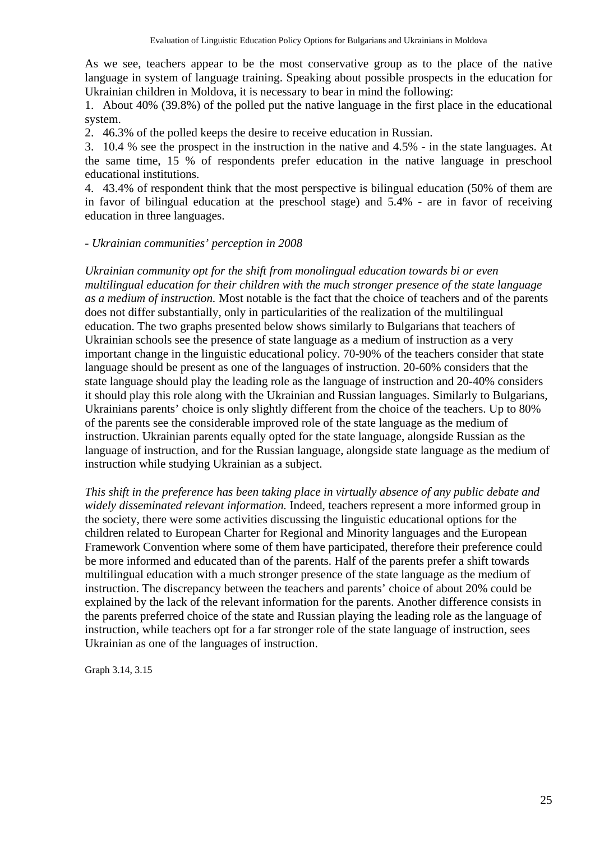As we see, teachers appear to be the most conservative group as to the place of the native language in system of language training. Speaking about possible prospects in the education for Ukrainian children in Moldova, it is necessary to bear in mind the following:

1. About 40% (39.8%) of the polled put the native language in the first place in the educational system.

2. 46.3% of the polled keeps the desire to receive education in Russian.

3. 10.4 % see the prospect in the instruction in the native and 4.5% - in the state languages. At the same time, 15 % of respondents prefer education in the native language in preschool educational institutions.

4. 43.4% of respondent think that the most perspective is bilingual education (50% of them are in favor of bilingual education at the preschool stage) and 5.4% - are in favor of receiving education in three languages.

#### *- Ukrainian communities' perception in 2008*

*Ukrainian community opt for the shift from monolingual education towards bi or even multilingual education for their children with the much stronger presence of the state language as a medium of instruction.* Most notable is the fact that the choice of teachers and of the parents does not differ substantially, only in particularities of the realization of the multilingual education. The two graphs presented below shows similarly to Bulgarians that teachers of Ukrainian schools see the presence of state language as a medium of instruction as a very important change in the linguistic educational policy. 70-90% of the teachers consider that state language should be present as one of the languages of instruction. 20-60% considers that the state language should play the leading role as the language of instruction and 20-40% considers it should play this role along with the Ukrainian and Russian languages. Similarly to Bulgarians, Ukrainians parents' choice is only slightly different from the choice of the teachers. Up to 80% of the parents see the considerable improved role of the state language as the medium of instruction. Ukrainian parents equally opted for the state language, alongside Russian as the language of instruction, and for the Russian language, alongside state language as the medium of instruction while studying Ukrainian as a subject.

*This shift in the preference has been taking place in virtually absence of any public debate and widely disseminated relevant information.* Indeed, teachers represent a more informed group in the society, there were some activities discussing the linguistic educational options for the children related to European Charter for Regional and Minority languages and the European Framework Convention where some of them have participated, therefore their preference could be more informed and educated than of the parents. Half of the parents prefer a shift towards multilingual education with a much stronger presence of the state language as the medium of instruction. The discrepancy between the teachers and parents' choice of about 20% could be explained by the lack of the relevant information for the parents. Another difference consists in the parents preferred choice of the state and Russian playing the leading role as the language of instruction, while teachers opt for a far stronger role of the state language of instruction, sees Ukrainian as one of the languages of instruction.

Graph 3.14, 3.15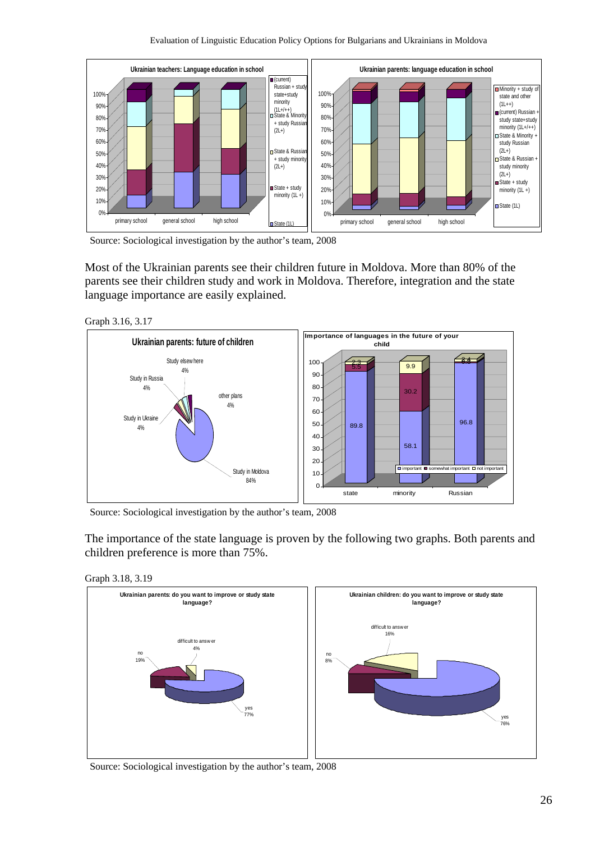

Source: Sociological investigation by the author's team, 2008

Most of the Ukrainian parents see their children future in Moldova. More than 80% of the parents see their children study and work in Moldova. Therefore, integration and the state language importance are easily explained.

Graph 3.16, 3.17



Source: Sociological investigation by the author's team, 2008

The importance of the state language is proven by the following two graphs. Both parents and children preference is more than 75%.

Graph 3.18, 3.19



Source: Sociological investigation by the author's team, 2008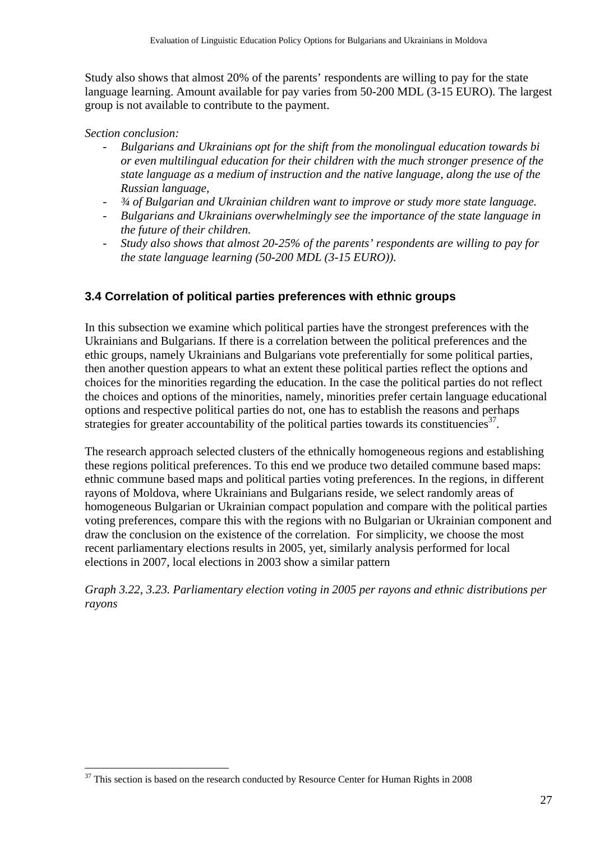Study also shows that almost 20% of the parents' respondents are willing to pay for the state language learning. Amount available for pay varies from 50-200 MDL (3-15 EURO). The largest group is not available to contribute to the payment.

#### *Section conclusion:*

 $\overline{a}$ 

- *Bulgarians and Ukrainians opt for the shift from the monolingual education towards bi or even multilingual education for their children with the much stronger presence of the state language as a medium of instruction and the native language, along the use of the Russian language,*
- *¾ of Bulgarian and Ukrainian children want to improve or study more state language.*
- *Bulgarians and Ukrainians overwhelmingly see the importance of the state language in the future of their children.*
- *Study also shows that almost 20-25% of the parents' respondents are willing to pay for the state language learning (50-200 MDL (3-15 EURO)).*

### **3.4 Correlation of political parties preferences with ethnic groups**

In this subsection we examine which political parties have the strongest preferences with the Ukrainians and Bulgarians. If there is a correlation between the political preferences and the ethic groups, namely Ukrainians and Bulgarians vote preferentially for some political parties, then another question appears to what an extent these political parties reflect the options and choices for the minorities regarding the education. In the case the political parties do not reflect the choices and options of the minorities, namely, minorities prefer certain language educational options and respective political parties do not, one has to establish the reasons and perhaps strategies for greater accountability of the political parties towards its constituencies<sup>37</sup>.

The research approach selected clusters of the ethnically homogeneous regions and establishing these regions political preferences. To this end we produce two detailed commune based maps: ethnic commune based maps and political parties voting preferences. In the regions, in different rayons of Moldova, where Ukrainians and Bulgarians reside, we select randomly areas of homogeneous Bulgarian or Ukrainian compact population and compare with the political parties voting preferences, compare this with the regions with no Bulgarian or Ukrainian component and draw the conclusion on the existence of the correlation. For simplicity, we choose the most recent parliamentary elections results in 2005, yet, similarly analysis performed for local elections in 2007, local elections in 2003 show a similar pattern

*Graph 3.22, 3.23. Parliamentary election voting in 2005 per rayons and ethnic distributions per rayons* 

<sup>&</sup>lt;sup>37</sup> This section is based on the research conducted by Resource Center for Human Rights in 2008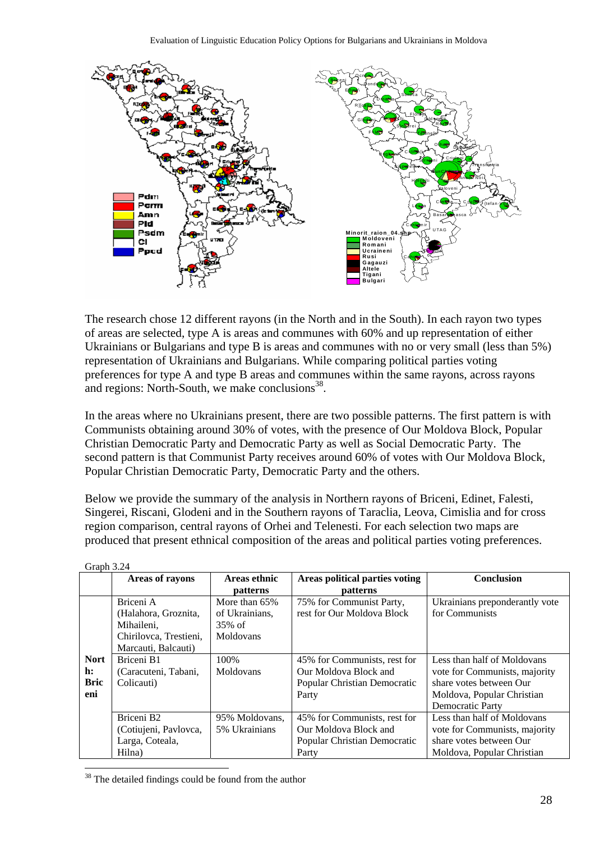

The research chose 12 different rayons (in the North and in the South). In each rayon two types of areas are selected, type A is areas and communes with 60% and up representation of either Ukrainians or Bulgarians and type B is areas and communes with no or very small (less than 5%) representation of Ukrainians and Bulgarians. While comparing political parties voting preferences for type A and type B areas and communes within the same rayons, across rayons and regions: North-South, we make conclusions<sup>38</sup>.

In the areas where no Ukrainians present, there are two possible patterns. The first pattern is with Communists obtaining around 30% of votes, with the presence of Our Moldova Block, Popular Christian Democratic Party and Democratic Party as well as Social Democratic Party. The second pattern is that Communist Party receives around 60% of votes with Our Moldova Block, Popular Christian Democratic Party, Democratic Party and the others.

Below we provide the summary of the analysis in Northern rayons of Briceni, Edinet, Falesti, Singerei, Riscani, Glodeni and in the Southern rayons of Taraclia, Leova, Cimislia and for cross region comparison, central rayons of Orhei and Telenesti. For each selection two maps are produced that present ethnical composition of the areas and political parties voting preferences.

| $U(4)$ $U(4)$                           |                                                                              |                                              |                                                                                                |                                                                                                                                           |
|-----------------------------------------|------------------------------------------------------------------------------|----------------------------------------------|------------------------------------------------------------------------------------------------|-------------------------------------------------------------------------------------------------------------------------------------------|
|                                         | <b>Areas of rayons</b>                                                       | Areas ethnic                                 | Areas political parties voting                                                                 | Conclusion                                                                                                                                |
|                                         |                                                                              | <b>patterns</b>                              | <b>patterns</b>                                                                                |                                                                                                                                           |
|                                         | Briceni A<br>(Halahora, Groznita,<br>Mihaileni,                              | More than 65%<br>of Ukrainians,<br>$35\%$ of | 75% for Communist Party,<br>rest for Our Moldova Block                                         | Ukrainians preponderantly vote<br>for Communists                                                                                          |
|                                         | Chirilovca, Trestieni,<br>Marcauti, Balcauti)                                | Moldovans                                    |                                                                                                |                                                                                                                                           |
| <b>Nort</b><br>h:<br><b>Bric</b><br>eni | Briceni B1<br>(Caracuteni, Tabani,<br>Colicauti)                             | 100\%<br>Moldovans                           | 45% for Communists, rest for<br>Our Moldova Block and<br>Popular Christian Democratic<br>Party | Less than half of Moldovans<br>vote for Communists, majority<br>share votes between Our<br>Moldova, Popular Christian<br>Democratic Party |
|                                         | Briceni B <sub>2</sub><br>(Cotiujeni, Pavlovca,<br>Larga, Coteala,<br>Hilna) | 95% Moldovans,<br>5% Ukrainians              | 45% for Communists, rest for<br>Our Moldova Block and<br>Popular Christian Democratic<br>Party | Less than half of Moldovans<br>vote for Communists, majority<br>share votes between Our<br>Moldova, Popular Christian                     |
|                                         |                                                                              |                                              |                                                                                                |                                                                                                                                           |

| ғанн |
|------|
|------|

<sup>38</sup> The detailed findings could be found from the author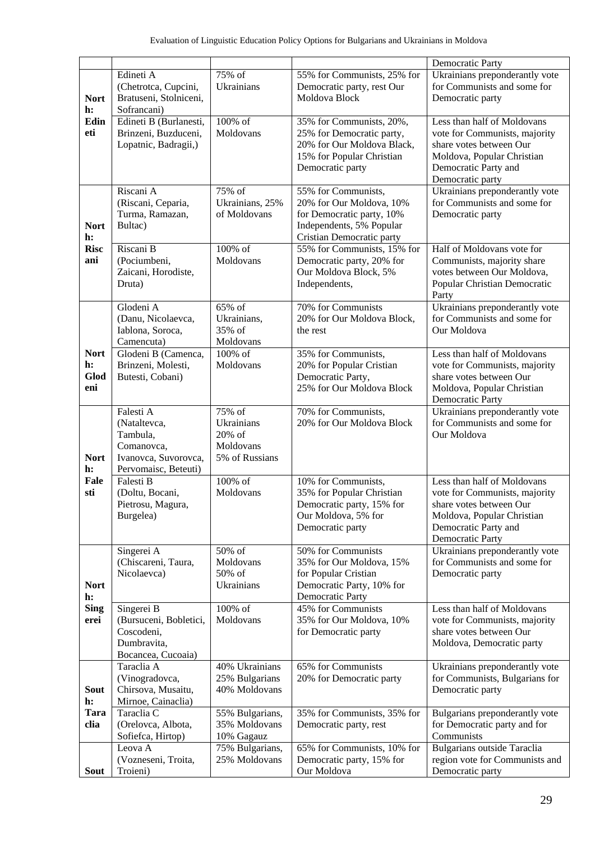|                                  |                                                                                                                                                                                                                                        |                                                                                                                            |                                                                                                                                                                   | Democratic Party                                                                                                                                                         |  |
|----------------------------------|----------------------------------------------------------------------------------------------------------------------------------------------------------------------------------------------------------------------------------------|----------------------------------------------------------------------------------------------------------------------------|-------------------------------------------------------------------------------------------------------------------------------------------------------------------|--------------------------------------------------------------------------------------------------------------------------------------------------------------------------|--|
| <b>Nort</b><br>h:                | Edineti A<br>(Chetrotca, Cupcini,<br>Bratuseni, Stolniceni,<br>Sofrancani)                                                                                                                                                             | 75% of<br>Ukrainians                                                                                                       | 55% for Communists, 25% for<br>Democratic party, rest Our<br>Moldova Block                                                                                        | Ukrainians preponderantly vote<br>for Communists and some for<br>Democratic party                                                                                        |  |
| Edin<br>eti                      | 100% of<br>Edineti B (Burlanesti,<br>35% for Communists, 20%,<br>Brinzeni, Buzduceni,<br>Moldovans<br>25% for Democratic party,<br>20% for Our Moldova Black,<br>Lopatnic, Badragii,)<br>15% for Popular Christian<br>Democratic party |                                                                                                                            | Less than half of Moldovans<br>vote for Communists, majority<br>share votes between Our<br>Moldova, Popular Christian<br>Democratic Party and<br>Democratic party |                                                                                                                                                                          |  |
| <b>Nort</b><br>h:                | Riscani A<br>(Riscani, Ceparia,<br>Turma, Ramazan,<br>Bultac)                                                                                                                                                                          | $\overline{75\%}$ of<br>Ukrainians, 25%<br>of Moldovans                                                                    | 55% for Communists,<br>20% for Our Moldova, 10%<br>for Democratic party, 10%<br>Independents, 5% Popular<br>Cristian Democratic party                             | Ukrainians preponderantly vote<br>for Communists and some for<br>Democratic party                                                                                        |  |
| <b>Risc</b><br>ani               | Riscani B<br>(Pociumbeni,<br>Zaicani, Horodiste,<br>Druta)                                                                                                                                                                             | 100% of<br>Moldovans                                                                                                       | 55% for Communists, 15% for<br>Democratic party, 20% for<br>Our Moldova Block, 5%<br>Independents,                                                                | Half of Moldovans vote for<br>Communists, majority share<br>votes between Our Moldova,<br>Popular Christian Democratic<br>Party                                          |  |
|                                  | Glodeni A<br>(Danu, Nicolaevca,<br>Iablona, Soroca,<br>Camencuta)                                                                                                                                                                      | $\overline{65\%}$ of<br>70% for Communists<br>20% for Our Moldova Block,<br>Ukrainians,<br>35% of<br>the rest<br>Moldovans |                                                                                                                                                                   | Ukrainians preponderantly vote<br>for Communists and some for<br>Our Moldova                                                                                             |  |
| <b>Nort</b><br>h:<br>Glod<br>eni | 100% of<br>Glodeni B (Camenca,<br>Brinzeni, Molesti,<br>Moldovans<br>Butesti, Cobani)                                                                                                                                                  |                                                                                                                            | 35% for Communists,<br>20% for Popular Cristian<br>Democratic Party,<br>25% for Our Moldova Block                                                                 | Less than half of Moldovans<br>vote for Communists, majority<br>share votes between Our<br>Moldova, Popular Christian<br><b>Democratic Party</b>                         |  |
| <b>Nort</b><br>h:<br>Fale<br>sti | Falesti A<br>(Nataltevca,<br>Tambula,<br>Comanovca,<br>Ivanovca, Suvorovca,<br>Pervomaisc, Beteuti)                                                                                                                                    | 75% of<br>Ukrainians<br>20% of<br>Moldovans<br>5% of Russians                                                              | 70% for Communists,<br>20% for Our Moldova Block                                                                                                                  | Ukrainians preponderantly vote<br>for Communists and some for<br>Our Moldova                                                                                             |  |
|                                  | Falesti B<br>(Doltu, Bocani,<br>Pietrosu, Magura,<br>Burgelea)                                                                                                                                                                         | 100% of<br>Moldovans                                                                                                       | 10% for Communists,<br>35% for Popular Christian<br>Democratic party, 15% for<br>Our Moldova, 5% for<br>Democratic party                                          | Less than half of Moldovans<br>vote for Communists, majority<br>share votes between Our<br>Moldova, Popular Christian<br>Democratic Party and<br><b>Democratic Party</b> |  |
| <b>Nort</b><br>h:                | Singerei A<br>(Chiscareni, Taura,<br>Nicolaevca)                                                                                                                                                                                       | 50% of<br>Moldovans<br>50% of<br>Ukrainians                                                                                | 50% for Communists<br>35% for Our Moldova, 15%<br>for Popular Cristian<br>Democratic Party, 10% for<br><b>Democratic Party</b>                                    | Ukrainians preponderantly vote<br>for Communists and some for<br>Democratic party                                                                                        |  |
| <b>Sing</b><br>erei              | Singerei B<br>(Bursuceni, Bobletici,<br>Coscodeni,<br>Dumbravita,<br>Bocancea, Cucoaia)                                                                                                                                                | $100\%$ of<br>Moldovans                                                                                                    | 45% for Communists<br>35% for Our Moldova, 10%<br>for Democratic party                                                                                            | Less than half of Moldovans<br>vote for Communists, majority<br>share votes between Our<br>Moldova, Democratic party                                                     |  |
| <b>Sout</b><br>h:                | Taraclia A<br>(Vinogradovca,<br>Chirsova, Musaitu,<br>Mirnoe, Cainaclia)                                                                                                                                                               | 40% Ukrainians<br>25% Bulgarians<br>40% Moldovans                                                                          | 65% for Communists<br>20% for Democratic party                                                                                                                    | Ukrainians preponderantly vote<br>for Communists, Bulgarians for<br>Democratic party                                                                                     |  |
| <b>Tara</b><br>clia              | Taraclia C<br>(Orelovca, Albota,<br>Sofiefca, Hirtop)                                                                                                                                                                                  | 55% Bulgarians,<br>35% Moldovans<br>10% Gagauz                                                                             | 35% for Communists, 35% for<br>Democratic party, rest                                                                                                             | Bulgarians preponderantly vote<br>for Democratic party and for<br>Communists                                                                                             |  |
| <b>Sout</b>                      | Leova A<br>(Vozneseni, Troita,<br>Troieni)                                                                                                                                                                                             | 75% Bulgarians,<br>25% Moldovans                                                                                           | 65% for Communists, 10% for<br>Democratic party, 15% for<br>Our Moldova                                                                                           | Bulgarians outside Taraclia<br>region vote for Communists and<br>Democratic party                                                                                        |  |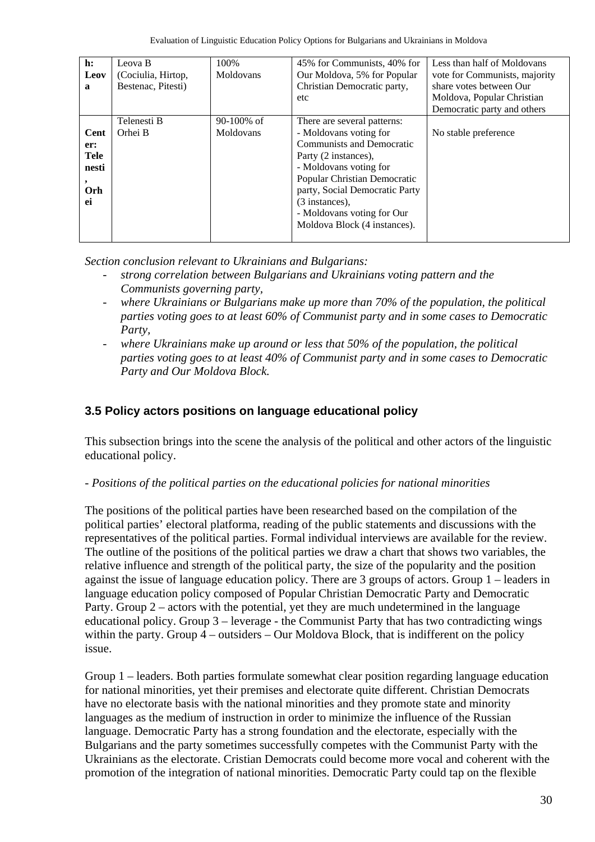| $\mathbf{h}$ :<br>Leov<br>a                      | Leova B<br>(Cociulia, Hirtop,<br>Bestenac, Pitesti) | 100\%<br>Moldovans         | 45% for Communists, 40% for<br>Our Moldova, 5% for Popular<br>Christian Democratic party,<br>etc                                                                                                                                                                                              | Less than half of Moldovans<br>vote for Communists, majority<br>share votes between Our<br>Moldova, Popular Christian<br>Democratic party and others |
|--------------------------------------------------|-----------------------------------------------------|----------------------------|-----------------------------------------------------------------------------------------------------------------------------------------------------------------------------------------------------------------------------------------------------------------------------------------------|------------------------------------------------------------------------------------------------------------------------------------------------------|
| Cent<br>er:<br>Tele<br>nesti<br><b>Orh</b><br>ei | Telenesti B<br>Orhei B                              | $90-100\%$ of<br>Moldovans | There are several patterns:<br>- Moldovans voting for<br><b>Communists and Democratic</b><br>Party (2 instances),<br>- Moldovans voting for<br>Popular Christian Democratic<br>party, Social Democratic Party<br>(3 instances),<br>- Moldovans voting for Our<br>Moldova Block (4 instances). | No stable preference                                                                                                                                 |

*Section conclusion relevant to Ukrainians and Bulgarians:* 

- *strong correlation between Bulgarians and Ukrainians voting pattern and the Communists governing party,*
- where Ukrainians or Bulgarians make up more than 70% of the population, the political *parties voting goes to at least 60% of Communist party and in some cases to Democratic Party,*
- *where Ukrainians make up around or less that 50% of the population, the political parties voting goes to at least 40% of Communist party and in some cases to Democratic Party and Our Moldova Block.*

## **3.5 Policy actors positions on language educational policy**

This subsection brings into the scene the analysis of the political and other actors of the linguistic educational policy.

*- Positions of the political parties on the educational policies for national minorities* 

The positions of the political parties have been researched based on the compilation of the political parties' electoral platforma, reading of the public statements and discussions with the representatives of the political parties. Formal individual interviews are available for the review. The outline of the positions of the political parties we draw a chart that shows two variables, the relative influence and strength of the political party, the size of the popularity and the position against the issue of language education policy. There are 3 groups of actors. Group 1 – leaders in language education policy composed of Popular Christian Democratic Party and Democratic Party. Group 2 – actors with the potential, yet they are much undetermined in the language educational policy. Group 3 – leverage - the Communist Party that has two contradicting wings within the party. Group  $4$  – outsiders – Our Moldova Block, that is indifferent on the policy issue.

Group 1 – leaders. Both parties formulate somewhat clear position regarding language education for national minorities, yet their premises and electorate quite different. Christian Democrats have no electorate basis with the national minorities and they promote state and minority languages as the medium of instruction in order to minimize the influence of the Russian language. Democratic Party has a strong foundation and the electorate, especially with the Bulgarians and the party sometimes successfully competes with the Communist Party with the Ukrainians as the electorate. Cristian Democrats could become more vocal and coherent with the promotion of the integration of national minorities. Democratic Party could tap on the flexible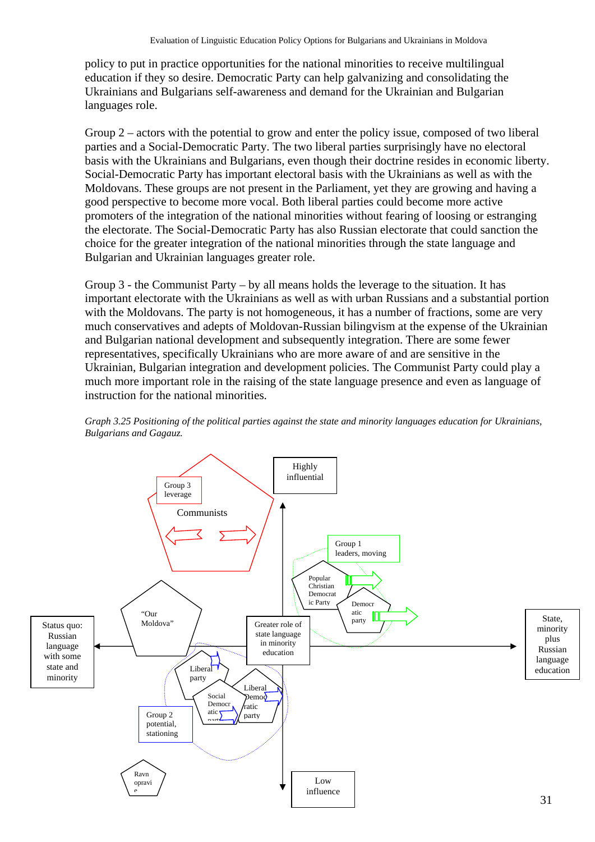policy to put in practice opportunities for the national minorities to receive multilingual education if they so desire. Democratic Party can help galvanizing and consolidating the Ukrainians and Bulgarians self-awareness and demand for the Ukrainian and Bulgarian languages role.

Group 2 – actors with the potential to grow and enter the policy issue, composed of two liberal parties and a Social-Democratic Party. The two liberal parties surprisingly have no electoral basis with the Ukrainians and Bulgarians, even though their doctrine resides in economic liberty. Social-Democratic Party has important electoral basis with the Ukrainians as well as with the Moldovans. These groups are not present in the Parliament, yet they are growing and having a good perspective to become more vocal. Both liberal parties could become more active promoters of the integration of the national minorities without fearing of loosing or estranging the electorate. The Social-Democratic Party has also Russian electorate that could sanction the choice for the greater integration of the national minorities through the state language and Bulgarian and Ukrainian languages greater role.

Group 3 - the Communist Party – by all means holds the leverage to the situation. It has important electorate with the Ukrainians as well as with urban Russians and a substantial portion with the Moldovans. The party is not homogeneous, it has a number of fractions, some are very much conservatives and adepts of Moldovan-Russian bilingvism at the expense of the Ukrainian and Bulgarian national development and subsequently integration. There are some fewer representatives, specifically Ukrainians who are more aware of and are sensitive in the Ukrainian, Bulgarian integration and development policies. The Communist Party could play a much more important role in the raising of the state language presence and even as language of instruction for the national minorities.



*Graph 3.25 Positioning of the political parties against the state and minority languages education for Ukrainians, Bulgarians and Gagauz.*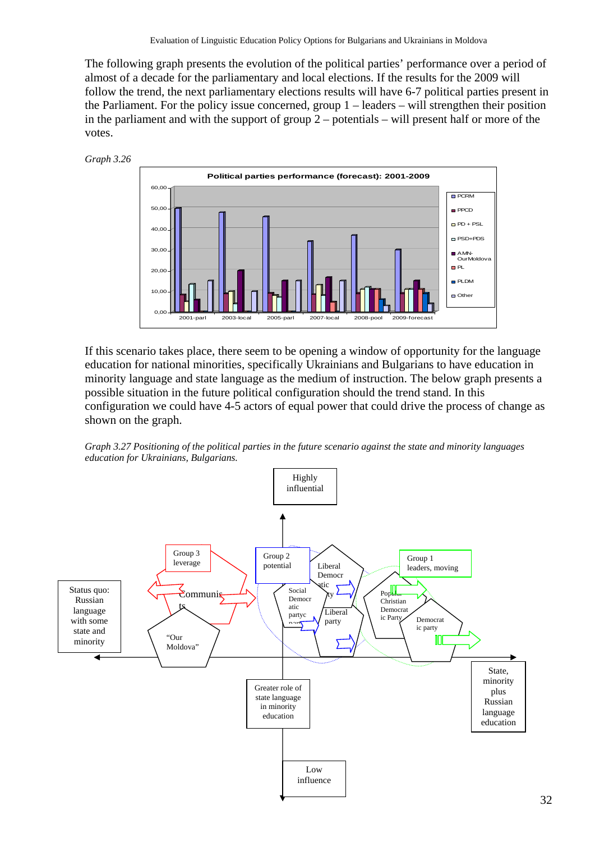The following graph presents the evolution of the political parties' performance over a period of almost of a decade for the parliamentary and local elections. If the results for the 2009 will follow the trend, the next parliamentary elections results will have 6-7 political parties present in the Parliament. For the policy issue concerned, group 1 – leaders – will strengthen their position in the parliament and with the support of group 2 – potentials – will present half or more of the votes.





If this scenario takes place, there seem to be opening a window of opportunity for the language education for national minorities, specifically Ukrainians and Bulgarians to have education in minority language and state language as the medium of instruction. The below graph presents a possible situation in the future political configuration should the trend stand. In this configuration we could have 4-5 actors of equal power that could drive the process of change as shown on the graph.



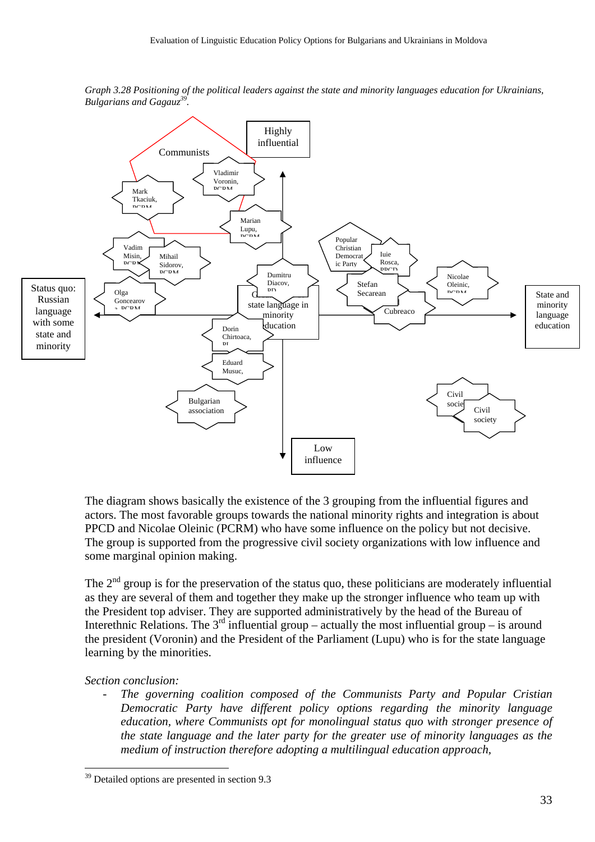

*Graph 3.28 Positioning of the political leaders against the state and minority languages education for Ukrainians, Bulgarians and Gagauz39.*

The diagram shows basically the existence of the 3 grouping from the influential figures and actors. The most favorable groups towards the national minority rights and integration is about PPCD and Nicolae Oleinic (PCRM) who have some influence on the policy but not decisive. The group is supported from the progressive civil society organizations with low influence and some marginal opinion making.

The  $2<sup>nd</sup>$  group is for the preservation of the status quo, these politicians are moderately influential as they are several of them and together they make up the stronger influence who team up with the President top adviser. They are supported administratively by the head of the Bureau of Interethnic Relations. The  $3<sup>rd</sup>$  influential group – actually the most influential group – is around the president (Voronin) and the President of the Parliament (Lupu) who is for the state language learning by the minorities.

#### *Section conclusion:*

 $\overline{a}$ 

- *The governing coalition composed of the Communists Party and Popular Cristian Democratic Party have different policy options regarding the minority language education, where Communists opt for monolingual status quo with stronger presence of the state language and the later party for the greater use of minority languages as the medium of instruction therefore adopting a multilingual education approach,* 

<sup>&</sup>lt;sup>39</sup> Detailed options are presented in section 9.3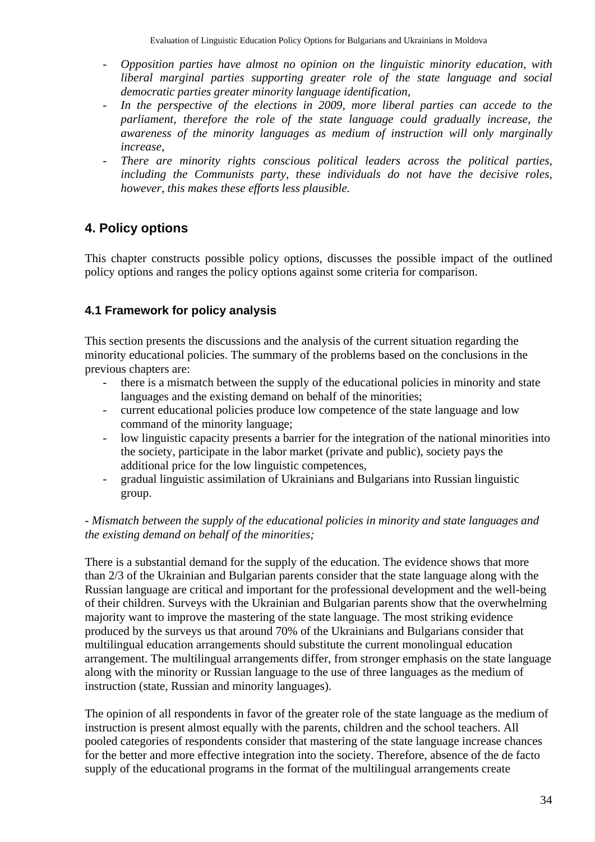- *Opposition parties have almost no opinion on the linguistic minority education, with liberal marginal parties supporting greater role of the state language and social democratic parties greater minority language identification,*
- In the perspective of the elections in 2009, more liberal parties can accede to the *parliament, therefore the role of the state language could gradually increase, the awareness of the minority languages as medium of instruction will only marginally increase,*
- There are minority rights conscious political leaders across the political parties, *including the Communists party, these individuals do not have the decisive roles, however, this makes these efforts less plausible.*

# **4. Policy options**

This chapter constructs possible policy options, discusses the possible impact of the outlined policy options and ranges the policy options against some criteria for comparison.

## **4.1 Framework for policy analysis**

This section presents the discussions and the analysis of the current situation regarding the minority educational policies. The summary of the problems based on the conclusions in the previous chapters are:

- there is a mismatch between the supply of the educational policies in minority and state languages and the existing demand on behalf of the minorities;
- current educational policies produce low competence of the state language and low command of the minority language;
- low linguistic capacity presents a barrier for the integration of the national minorities into the society, participate in the labor market (private and public), society pays the additional price for the low linguistic competences,
- gradual linguistic assimilation of Ukrainians and Bulgarians into Russian linguistic group.

### *- Mismatch between the supply of the educational policies in minority and state languages and the existing demand on behalf of the minorities;*

There is a substantial demand for the supply of the education. The evidence shows that more than 2/3 of the Ukrainian and Bulgarian parents consider that the state language along with the Russian language are critical and important for the professional development and the well-being of their children. Surveys with the Ukrainian and Bulgarian parents show that the overwhelming majority want to improve the mastering of the state language. The most striking evidence produced by the surveys us that around 70% of the Ukrainians and Bulgarians consider that multilingual education arrangements should substitute the current monolingual education arrangement. The multilingual arrangements differ, from stronger emphasis on the state language along with the minority or Russian language to the use of three languages as the medium of instruction (state, Russian and minority languages).

The opinion of all respondents in favor of the greater role of the state language as the medium of instruction is present almost equally with the parents, children and the school teachers. All pooled categories of respondents consider that mastering of the state language increase chances for the better and more effective integration into the society. Therefore, absence of the de facto supply of the educational programs in the format of the multilingual arrangements create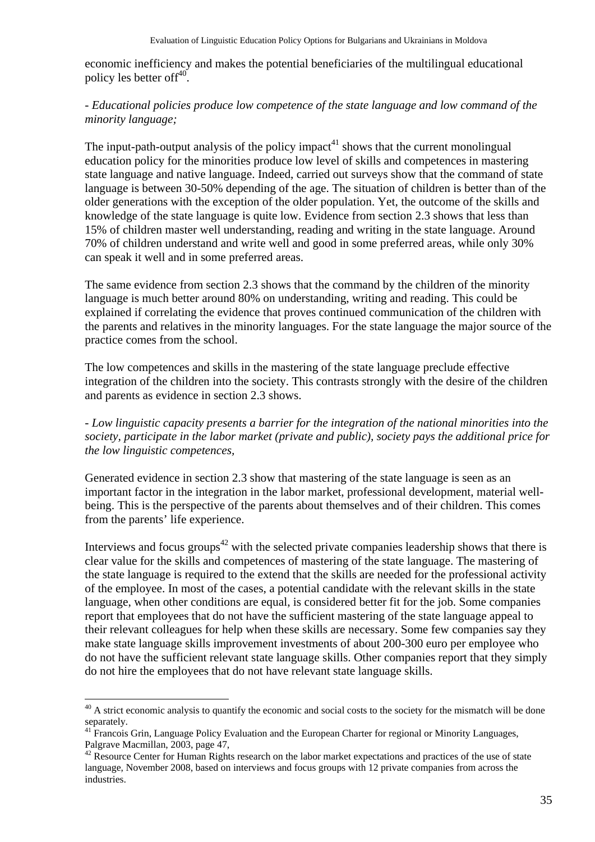economic inefficiency and makes the potential beneficiaries of the multilingual educational policy les better of  $f^{40}$ .

#### *- Educational policies produce low competence of the state language and low command of the minority language;*

The input-path-output analysis of the policy impact<sup>41</sup> shows that the current monolingual education policy for the minorities produce low level of skills and competences in mastering state language and native language. Indeed, carried out surveys show that the command of state language is between 30-50% depending of the age. The situation of children is better than of the older generations with the exception of the older population. Yet, the outcome of the skills and knowledge of the state language is quite low. Evidence from section 2.3 shows that less than 15% of children master well understanding, reading and writing in the state language. Around 70% of children understand and write well and good in some preferred areas, while only 30% can speak it well and in some preferred areas.

The same evidence from section 2.3 shows that the command by the children of the minority language is much better around 80% on understanding, writing and reading. This could be explained if correlating the evidence that proves continued communication of the children with the parents and relatives in the minority languages. For the state language the major source of the practice comes from the school.

The low competences and skills in the mastering of the state language preclude effective integration of the children into the society. This contrasts strongly with the desire of the children and parents as evidence in section 2.3 shows.

*- Low linguistic capacity presents a barrier for the integration of the national minorities into the society, participate in the labor market (private and public), society pays the additional price for the low linguistic competences,* 

Generated evidence in section 2.3 show that mastering of the state language is seen as an important factor in the integration in the labor market, professional development, material wellbeing. This is the perspective of the parents about themselves and of their children. This comes from the parents' life experience.

Interviews and focus groups<sup> $42$ </sup> with the selected private companies leadership shows that there is clear value for the skills and competences of mastering of the state language. The mastering of the state language is required to the extend that the skills are needed for the professional activity of the employee. In most of the cases, a potential candidate with the relevant skills in the state language, when other conditions are equal, is considered better fit for the job. Some companies report that employees that do not have the sufficient mastering of the state language appeal to their relevant colleagues for help when these skills are necessary. Some few companies say they make state language skills improvement investments of about 200-300 euro per employee who do not have the sufficient relevant state language skills. Other companies report that they simply do not hire the employees that do not have relevant state language skills.

<sup>&</sup>lt;sup>40</sup> A strict economic analysis to quantify the economic and social costs to the society for the mismatch will be done separately.

<sup>&</sup>lt;sup>41</sup> Francois Grin, Language Policy Evaluation and the European Charter for regional or Minority Languages, Palgrave Macmillan, 2003, page 47,

 $42$  Resource Center for Human Rights research on the labor market expectations and practices of the use of state language, November 2008, based on interviews and focus groups with 12 private companies from across the industries.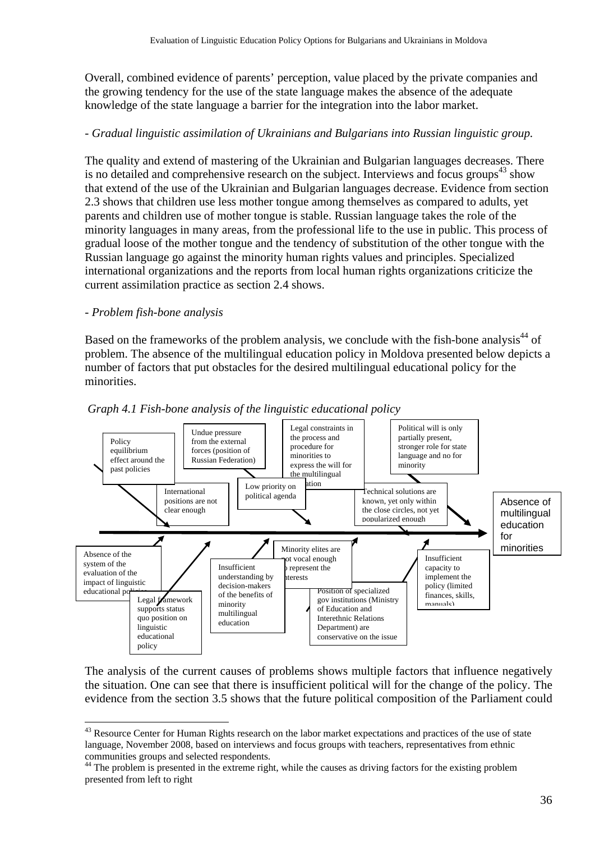Overall, combined evidence of parents' perception, value placed by the private companies and the growing tendency for the use of the state language makes the absence of the adequate knowledge of the state language a barrier for the integration into the labor market.

### *- Gradual linguistic assimilation of Ukrainians and Bulgarians into Russian linguistic group.*

The quality and extend of mastering of the Ukrainian and Bulgarian languages decreases. There is no detailed and comprehensive research on the subject. Interviews and focus groups $43$  show that extend of the use of the Ukrainian and Bulgarian languages decrease. Evidence from section 2.3 shows that children use less mother tongue among themselves as compared to adults, yet parents and children use of mother tongue is stable. Russian language takes the role of the minority languages in many areas, from the professional life to the use in public. This process of gradual loose of the mother tongue and the tendency of substitution of the other tongue with the Russian language go against the minority human rights values and principles. Specialized international organizations and the reports from local human rights organizations criticize the current assimilation practice as section 2.4 shows.

#### *- Problem fish-bone analysis*

 $\overline{a}$ 

Based on the frameworks of the problem analysis, we conclude with the fish-bone analysis<sup>44</sup> of problem. The absence of the multilingual education policy in Moldova presented below depicts a number of factors that put obstacles for the desired multilingual educational policy for the minorities.





The analysis of the current causes of problems shows multiple factors that influence negatively the situation. One can see that there is insufficient political will for the change of the policy. The evidence from the section 3.5 shows that the future political composition of the Parliament could

<sup>&</sup>lt;sup>43</sup> Resource Center for Human Rights research on the labor market expectations and practices of the use of state language, November 2008, based on interviews and focus groups with teachers, representatives from ethnic communities groups and selected respondents.

<sup>&</sup>lt;sup>44</sup> The problem is presented in the extreme right, while the causes as driving factors for the existing problem presented from left to right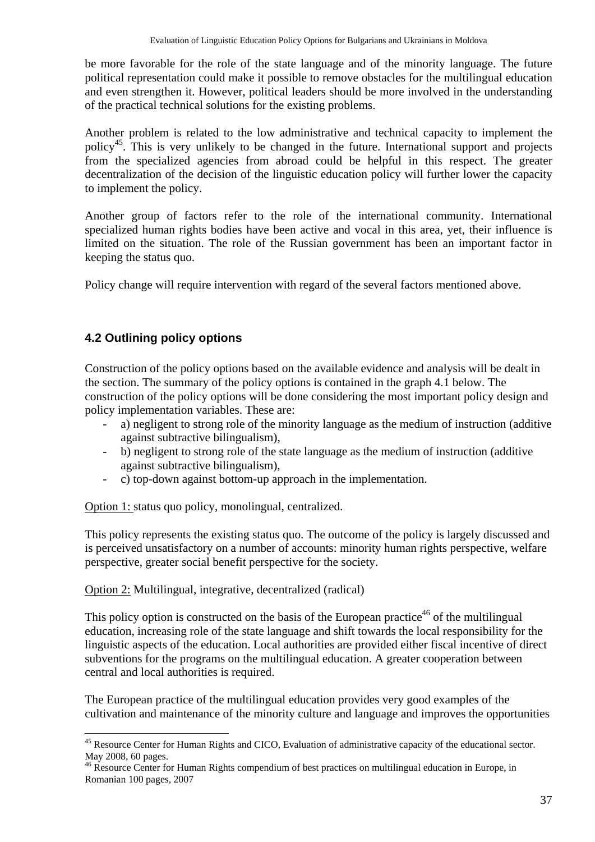be more favorable for the role of the state language and of the minority language. The future political representation could make it possible to remove obstacles for the multilingual education and even strengthen it. However, political leaders should be more involved in the understanding of the practical technical solutions for the existing problems.

Another problem is related to the low administrative and technical capacity to implement the policy45. This is very unlikely to be changed in the future. International support and projects from the specialized agencies from abroad could be helpful in this respect. The greater decentralization of the decision of the linguistic education policy will further lower the capacity to implement the policy.

Another group of factors refer to the role of the international community. International specialized human rights bodies have been active and vocal in this area, yet, their influence is limited on the situation. The role of the Russian government has been an important factor in keeping the status quo.

Policy change will require intervention with regard of the several factors mentioned above.

## **4.2 Outlining policy options**

 $\overline{a}$ 

Construction of the policy options based on the available evidence and analysis will be dealt in the section. The summary of the policy options is contained in the graph 4.1 below. The construction of the policy options will be done considering the most important policy design and policy implementation variables. These are:

- a) negligent to strong role of the minority language as the medium of instruction (additive against subtractive bilingualism),
- b) negligent to strong role of the state language as the medium of instruction (additive against subtractive bilingualism),
- c) top-down against bottom-up approach in the implementation.

Option 1: status quo policy, monolingual, centralized.

This policy represents the existing status quo. The outcome of the policy is largely discussed and is perceived unsatisfactory on a number of accounts: minority human rights perspective, welfare perspective, greater social benefit perspective for the society.

#### Option 2: Multilingual, integrative, decentralized (radical)

This policy option is constructed on the basis of the European practice<sup>46</sup> of the multilingual education, increasing role of the state language and shift towards the local responsibility for the linguistic aspects of the education. Local authorities are provided either fiscal incentive of direct subventions for the programs on the multilingual education. A greater cooperation between central and local authorities is required.

The European practice of the multilingual education provides very good examples of the cultivation and maintenance of the minority culture and language and improves the opportunities

<sup>&</sup>lt;sup>45</sup> Resource Center for Human Rights and CICO, Evaluation of administrative capacity of the educational sector. May 2008, 60 pages.

<sup>&</sup>lt;sup>46</sup> Resource Center for Human Rights compendium of best practices on multilingual education in Europe, in Romanian 100 pages, 2007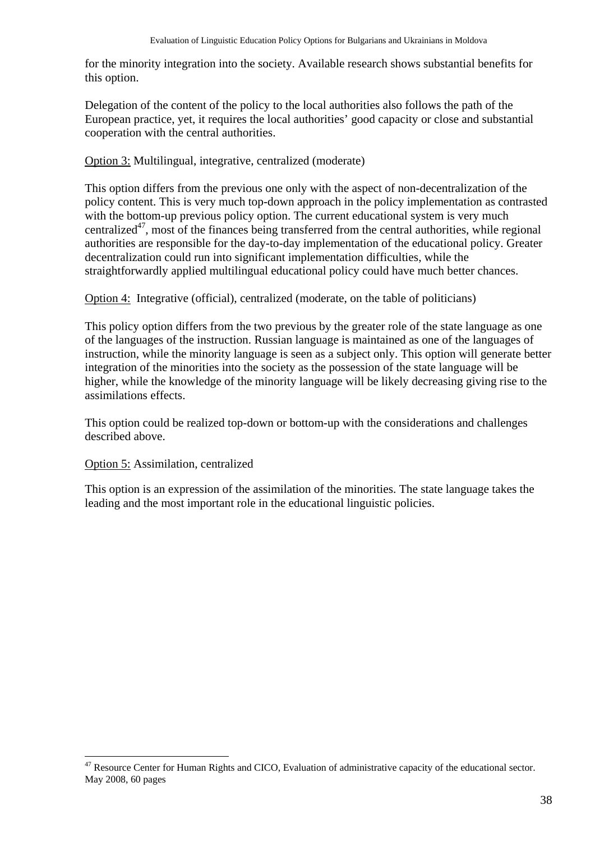for the minority integration into the society. Available research shows substantial benefits for this option.

Delegation of the content of the policy to the local authorities also follows the path of the European practice, yet, it requires the local authorities' good capacity or close and substantial cooperation with the central authorities.

Option 3: Multilingual, integrative, centralized (moderate)

This option differs from the previous one only with the aspect of non-decentralization of the policy content. This is very much top-down approach in the policy implementation as contrasted with the bottom-up previous policy option. The current educational system is very much centralized<sup>47</sup>, most of the finances being transferred from the central authorities, while regional authorities are responsible for the day-to-day implementation of the educational policy. Greater decentralization could run into significant implementation difficulties, while the straightforwardly applied multilingual educational policy could have much better chances.

Option 4: Integrative (official), centralized (moderate, on the table of politicians)

This policy option differs from the two previous by the greater role of the state language as one of the languages of the instruction. Russian language is maintained as one of the languages of instruction, while the minority language is seen as a subject only. This option will generate better integration of the minorities into the society as the possession of the state language will be higher, while the knowledge of the minority language will be likely decreasing giving rise to the assimilations effects.

This option could be realized top-down or bottom-up with the considerations and challenges described above.

#### Option 5: Assimilation, centralized

 $\overline{a}$ 

This option is an expression of the assimilation of the minorities. The state language takes the leading and the most important role in the educational linguistic policies.

<sup>&</sup>lt;sup>47</sup> Resource Center for Human Rights and CICO, Evaluation of administrative capacity of the educational sector. May 2008, 60 pages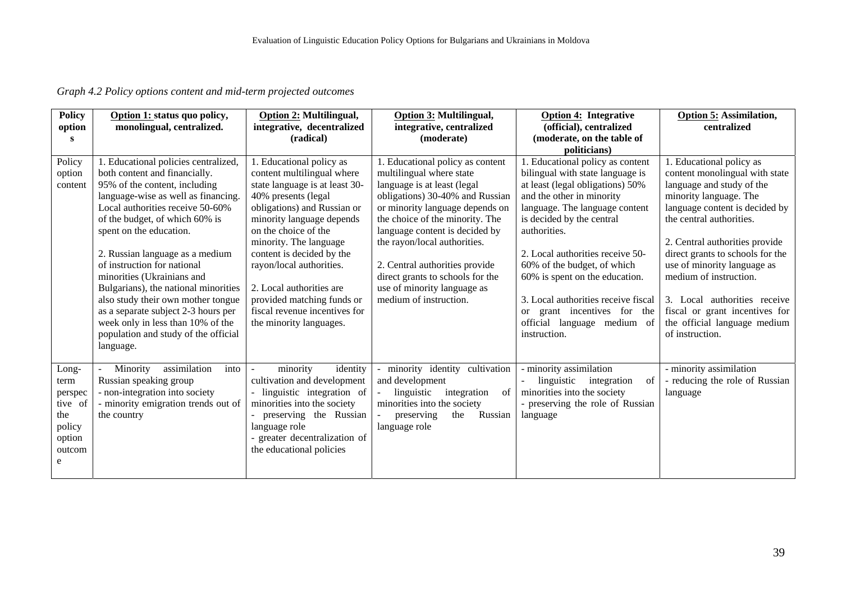*Graph 4.2 Policy options content and mid-term projected outcomes* 

| <b>Policy</b> | Option 1: status quo policy,         | Option 2: Multilingual,        | <b>Option 3: Multilingual,</b>   | <b>Option 4: Integrative</b>        | <b>Option 5: Assimilation,</b>   |
|---------------|--------------------------------------|--------------------------------|----------------------------------|-------------------------------------|----------------------------------|
| option        | monolingual, centralized.            | integrative, decentralized     | integrative, centralized         | (official), centralized             | centralized                      |
| S             |                                      | (radical)                      | (moderate)                       | (moderate, on the table of          |                                  |
|               |                                      |                                |                                  | politicians)                        |                                  |
| Policy        | 1. Educational policies centralized, | 1. Educational policy as       | 1. Educational policy as content | 1. Educational policy as content    | 1. Educational policy as         |
| option        | both content and financially.        | content multilingual where     | multilingual where state         | bilingual with state language is    | content monolingual with state   |
| content       | 95% of the content, including        | state language is at least 30- | language is at least (legal      | at least (legal obligations) 50%    | language and study of the        |
|               | language-wise as well as financing.  | 40% presents (legal            | obligations) 30-40% and Russian  | and the other in minority           | minority language. The           |
|               | Local authorities receive 50-60%     | obligations) and Russian or    | or minority language depends on  | language. The language content      | language content is decided by   |
|               | of the budget, of which 60% is       | minority language depends      | the choice of the minority. The  | is decided by the central           | the central authorities.         |
|               | spent on the education.              | on the choice of the           | language content is decided by   | authorities.                        |                                  |
|               |                                      | minority. The language         | the rayon/local authorities.     |                                     | 2. Central authorities provide   |
|               | 2. Russian language as a medium      | content is decided by the      |                                  | 2. Local authorities receive 50-    | direct grants to schools for the |
|               | of instruction for national          | rayon/local authorities.       | 2. Central authorities provide   | 60% of the budget, of which         | use of minority language as      |
|               | minorities (Ukrainians and           |                                | direct grants to schools for the | 60% is spent on the education.      | medium of instruction.           |
|               | Bulgarians), the national minorities | 2. Local authorities are       | use of minority language as      |                                     |                                  |
|               | also study their own mother tongue   | provided matching funds or     | medium of instruction.           | 3. Local authorities receive fiscal | 3. Local authorities receive     |
|               | as a separate subject 2-3 hours per  | fiscal revenue incentives for  |                                  | or grant incentives for the         | fiscal or grant incentives for   |
|               | week only in less than 10% of the    | the minority languages.        |                                  | official language medium of         | the official language medium     |
|               | population and study of the official |                                |                                  | instruction.                        | of instruction.                  |
|               | language.                            |                                |                                  |                                     |                                  |
|               |                                      |                                |                                  |                                     |                                  |
| Long-         | assimilation<br>into<br>Minority     | minority<br>identity           | minority identity cultivation    | - minority assimilation             | - minority assimilation          |
| term          | Russian speaking group               | cultivation and development    | and development                  | linguistic<br>integration<br>of     | - reducing the role of Russian   |
| perspec       | - non-integration into society       | linguistic integration of      | linguistic<br>integration<br>of  | minorities into the society         | language                         |
| tive of       | - minority emigration trends out of  | minorities into the society    | minorities into the society      | - preserving the role of Russian    |                                  |
| the           | the country                          | preserving the Russian         | Russian<br>preserving<br>the     | language                            |                                  |
| policy        |                                      | language role                  | language role                    |                                     |                                  |
| option        |                                      | - greater decentralization of  |                                  |                                     |                                  |
| outcom        |                                      | the educational policies       |                                  |                                     |                                  |
| e             |                                      |                                |                                  |                                     |                                  |
|               |                                      |                                |                                  |                                     |                                  |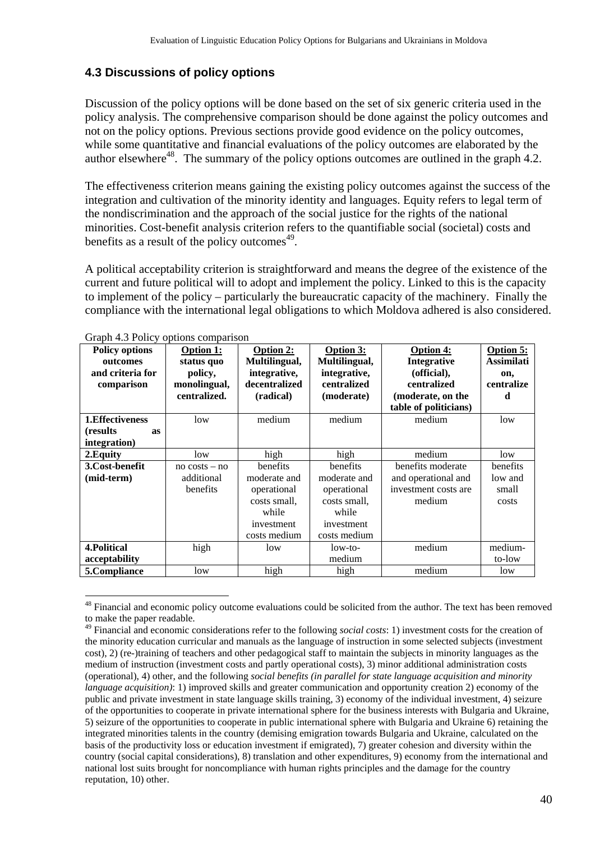### **4.3 Discussions of policy options**

Discussion of the policy options will be done based on the set of six generic criteria used in the policy analysis. The comprehensive comparison should be done against the policy outcomes and not on the policy options. Previous sections provide good evidence on the policy outcomes, while some quantitative and financial evaluations of the policy outcomes are elaborated by the author elsewhere<sup>48</sup>. The summary of the policy options outcomes are outlined in the graph 4.2.

The effectiveness criterion means gaining the existing policy outcomes against the success of the integration and cultivation of the minority identity and languages. Equity refers to legal term of the nondiscrimination and the approach of the social justice for the rights of the national minorities. Cost-benefit analysis criterion refers to the quantifiable social (societal) costs and benefits as a result of the policy outcomes $49$ .

A political acceptability criterion is straightforward and means the degree of the existence of the current and future political will to adopt and implement the policy. Linked to this is the capacity to implement of the policy – particularly the bureaucratic capacity of the machinery. Finally the compliance with the international legal obligations to which Moldova adhered is also considered.

| $\mathsf{Unput}$ $\mathsf{iv}$ is $\mathsf{out}$ ,<br><b>Policy options</b> | $\sigma$<br><b>Option 1:</b> | <b>Option 2:</b> | <b>Option 3:</b> | <b>Option 4:</b>      | Option 5:  |
|-----------------------------------------------------------------------------|------------------------------|------------------|------------------|-----------------------|------------|
| outcomes                                                                    | status quo                   | Multilingual,    | Multilingual,    | Integrative           | Assimilati |
| and criteria for                                                            | policy,                      | integrative,     | integrative,     | (official),           | on,        |
| comparison                                                                  | monolingual,                 | decentralized    | centralized      | centralized           | centralize |
|                                                                             | centralized.                 | (radical)        | (moderate)       | (moderate, on the     | d          |
|                                                                             |                              |                  |                  | table of politicians) |            |
| 1. Effectiveness                                                            | low                          | medium           | medium           | medium                | low        |
| (results)<br><b>as</b>                                                      |                              |                  |                  |                       |            |
| integration)                                                                |                              |                  |                  |                       |            |
| 2. Equity                                                                   | low                          | high             | high             | medium                | low        |
| 3.Cost-benefit                                                              | $no \; costs - no$           | benefits         | benefits         | benefits moderate     | benefits   |
| (mid-term)                                                                  | additional                   | moderate and     | moderate and     | and operational and   | low and    |
|                                                                             | benefits                     | operational      | operational      | investment costs are  | small      |
|                                                                             |                              | costs small,     | costs small,     | medium                | costs      |
|                                                                             |                              | while            | while            |                       |            |
|                                                                             |                              | investment       | investment       |                       |            |
|                                                                             |                              | costs medium     | costs medium     |                       |            |
| <b>4. Political</b>                                                         | high                         | low              | low-to-          | medium                | medium-    |
| acceptability                                                               |                              |                  | medium           |                       | to-low     |
| 5.Compliance                                                                | low                          | high             | high             | medium                | low        |

Graph 4.3 Policy options comparison

1

<sup>48</sup> Financial and economic policy outcome evaluations could be solicited from the author. The text has been removed to make the paper readable.

<sup>49</sup> Financial and economic considerations refer to the following *social costs*: 1) investment costs for the creation of the minority education curricular and manuals as the language of instruction in some selected subjects (investment cost), 2) (re-)training of teachers and other pedagogical staff to maintain the subjects in minority languages as the medium of instruction (investment costs and partly operational costs), 3) minor additional administration costs (operational), 4) other, and the following *social benefits (in parallel for state language acquisition and minority language acquisition)*: 1) improved skills and greater communication and opportunity creation 2) economy of the public and private investment in state language skills training, 3) economy of the individual investment, 4) seizure of the opportunities to cooperate in private international sphere for the business interests with Bulgaria and Ukraine, 5) seizure of the opportunities to cooperate in public international sphere with Bulgaria and Ukraine 6) retaining the integrated minorities talents in the country (demising emigration towards Bulgaria and Ukraine, calculated on the basis of the productivity loss or education investment if emigrated), 7) greater cohesion and diversity within the country (social capital considerations), 8) translation and other expenditures, 9) economy from the international and national lost suits brought for noncompliance with human rights principles and the damage for the country reputation, 10) other.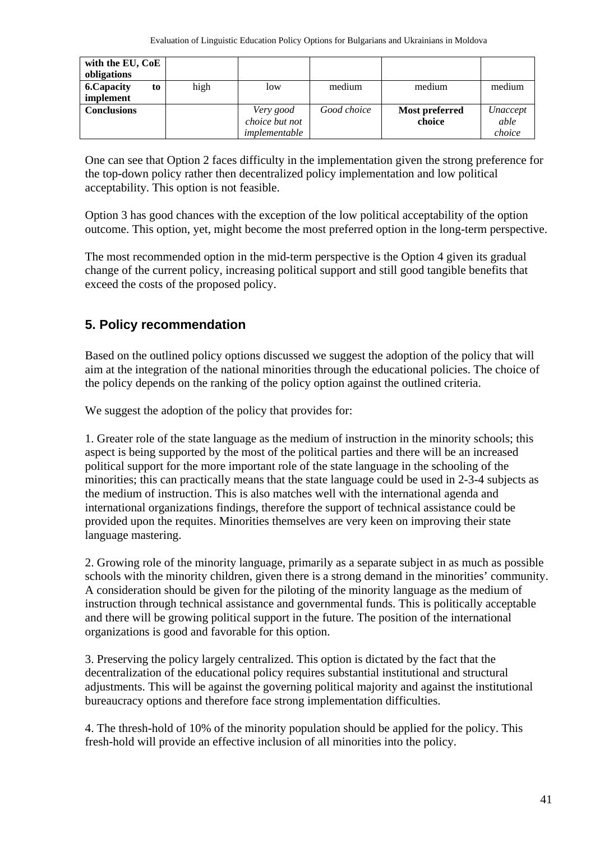| with the EU, CoE   |    |      |                |             |                |          |
|--------------------|----|------|----------------|-------------|----------------|----------|
| obligations        |    |      |                |             |                |          |
| <b>6. Capacity</b> | to | high | low            | medium      | medium         | medium   |
| implement          |    |      |                |             |                |          |
| <b>Conclusions</b> |    |      | Very good      | Good choice | Most preferred | Unaccept |
|                    |    |      | choice but not |             | choice         | able     |
|                    |    |      | implementable  |             |                | choice   |

One can see that Option 2 faces difficulty in the implementation given the strong preference for the top-down policy rather then decentralized policy implementation and low political acceptability. This option is not feasible.

Option 3 has good chances with the exception of the low political acceptability of the option outcome. This option, yet, might become the most preferred option in the long-term perspective.

The most recommended option in the mid-term perspective is the Option 4 given its gradual change of the current policy, increasing political support and still good tangible benefits that exceed the costs of the proposed policy.

## **5. Policy recommendation**

Based on the outlined policy options discussed we suggest the adoption of the policy that will aim at the integration of the national minorities through the educational policies. The choice of the policy depends on the ranking of the policy option against the outlined criteria.

We suggest the adoption of the policy that provides for:

1. Greater role of the state language as the medium of instruction in the minority schools; this aspect is being supported by the most of the political parties and there will be an increased political support for the more important role of the state language in the schooling of the minorities; this can practically means that the state language could be used in 2-3-4 subjects as the medium of instruction. This is also matches well with the international agenda and international organizations findings, therefore the support of technical assistance could be provided upon the requites. Minorities themselves are very keen on improving their state language mastering.

2. Growing role of the minority language, primarily as a separate subject in as much as possible schools with the minority children, given there is a strong demand in the minorities' community. A consideration should be given for the piloting of the minority language as the medium of instruction through technical assistance and governmental funds. This is politically acceptable and there will be growing political support in the future. The position of the international organizations is good and favorable for this option.

3. Preserving the policy largely centralized. This option is dictated by the fact that the decentralization of the educational policy requires substantial institutional and structural adjustments. This will be against the governing political majority and against the institutional bureaucracy options and therefore face strong implementation difficulties.

4. The thresh-hold of 10% of the minority population should be applied for the policy. This fresh-hold will provide an effective inclusion of all minorities into the policy.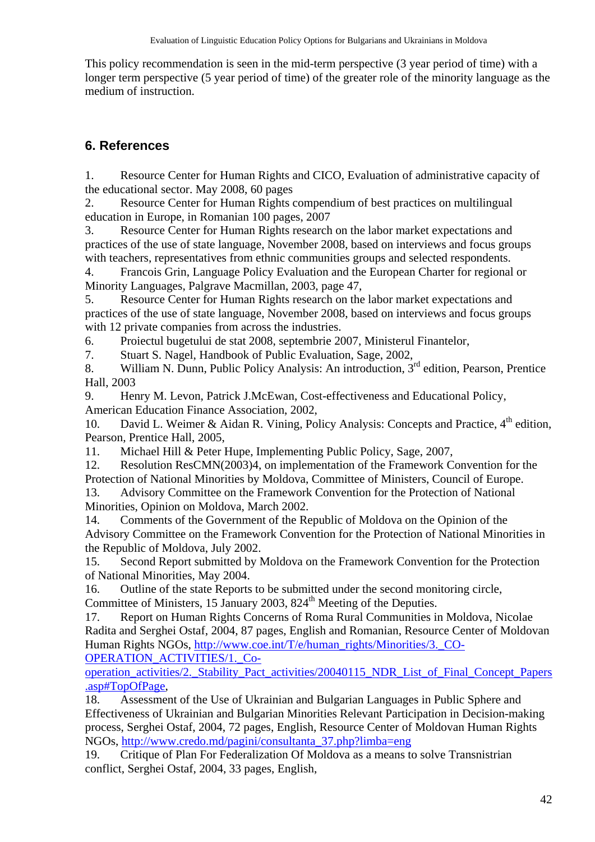This policy recommendation is seen in the mid-term perspective (3 year period of time) with a longer term perspective (5 year period of time) of the greater role of the minority language as the medium of instruction.

# **6. References**

1. Resource Center for Human Rights and CICO, Evaluation of administrative capacity of the educational sector. May 2008, 60 pages

2. Resource Center for Human Rights compendium of best practices on multilingual education in Europe, in Romanian 100 pages, 2007

3. Resource Center for Human Rights research on the labor market expectations and practices of the use of state language, November 2008, based on interviews and focus groups with teachers, representatives from ethnic communities groups and selected respondents.

4. Francois Grin, Language Policy Evaluation and the European Charter for regional or Minority Languages, Palgrave Macmillan, 2003, page 47,

5. Resource Center for Human Rights research on the labor market expectations and practices of the use of state language, November 2008, based on interviews and focus groups with 12 private companies from across the industries.

6. Proiectul bugetului de stat 2008, septembrie 2007, Ministerul Finantelor,

7. Stuart S. Nagel, Handbook of Public Evaluation, Sage, 2002,

8. William N. Dunn, Public Policy Analysis: An introduction, 3<sup>rd</sup> edition, Pearson, Prentice Hall, 2003

9. Henry M. Levon, Patrick J.McEwan, Cost-effectiveness and Educational Policy, American Education Finance Association, 2002,

10. David L. Weimer & Aidan R. Vining, Policy Analysis: Concepts and Practice,  $4<sup>th</sup>$  edition, Pearson, Prentice Hall, 2005,

11. Michael Hill & Peter Hupe, Implementing Public Policy, Sage, 2007,

12. Resolution ResCMN(2003)4, on implementation of the Framework Convention for the Protection of National Minorities by Moldova, Committee of Ministers, Council of Europe.

13. Advisory Committee on the Framework Convention for the Protection of National Minorities, Opinion on Moldova, March 2002.

14. Comments of the Government of the Republic of Moldova on the Opinion of the Advisory Committee on the Framework Convention for the Protection of National Minorities in the Republic of Moldova, July 2002.

15. Second Report submitted by Moldova on the Framework Convention for the Protection of National Minorities, May 2004.

16. Outline of the state Reports to be submitted under the second monitoring circle, Committee of Ministers, 15 January 2003,  $824<sup>th</sup>$  Meeting of the Deputies.

17. Report on Human Rights Concerns of Roma Rural Communities in Moldova, Nicolae Radita and Serghei Ostaf, 2004, 87 pages, English and Romanian, Resource Center of Moldovan Human Rights NGOs, http://www.coe.int/T/e/human\_rights/Minorities/3.\_CO-OPERATION\_ACTIVITIES/1.\_Co-

operation\_activities/2.\_Stability\_Pact\_activities/20040115\_NDR\_List\_of\_Final\_Concept\_Papers .asp#TopOfPage,

18. Assessment of the Use of Ukrainian and Bulgarian Languages in Public Sphere and Effectiveness of Ukrainian and Bulgarian Minorities Relevant Participation in Decision-making process, Serghei Ostaf, 2004, 72 pages, English, Resource Center of Moldovan Human Rights NGOs, http://www.credo.md/pagini/consultanta\_37.php?limba=eng

19. Critique of Plan For Federalization Of Moldova as a means to solve Transnistrian conflict, Serghei Ostaf, 2004, 33 pages, English,